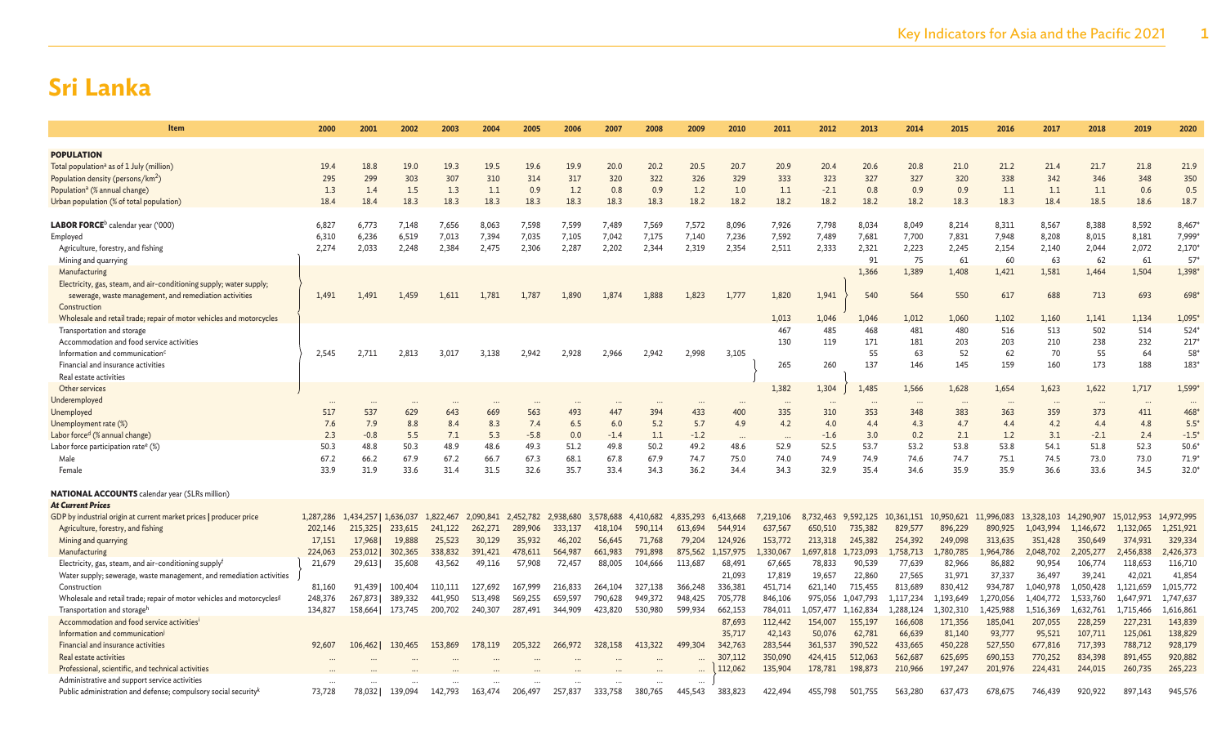| Item                                                                              | 2000      | 2001                  | 2002    | 2003      | 2004      | 2005      | 2006      | 2007      | 2008      | 2009      | 2010      | 2011           | 2012             | 2013      | 2014            | 2015         | 2016             | 2017       | 2018                        | 2019       | 2020           |
|-----------------------------------------------------------------------------------|-----------|-----------------------|---------|-----------|-----------|-----------|-----------|-----------|-----------|-----------|-----------|----------------|------------------|-----------|-----------------|--------------|------------------|------------|-----------------------------|------------|----------------|
|                                                                                   |           |                       |         |           |           |           |           |           |           |           |           |                |                  |           |                 |              |                  |            |                             |            |                |
| <b>POPULATION</b>                                                                 |           |                       |         |           |           |           |           |           |           |           |           |                |                  |           |                 |              |                  |            |                             |            |                |
| Total population <sup>a</sup> as of 1 July (million)                              | 19.4      | 18.8                  | 19.0    | 19.3      | 19.5      | 19.6      | 19.9      | 20.0      | 20.2      | 20.5      | 20.7      | 20.9           | 20.4             | 20.6      | 20.8            | 21.0         | 21.2             | 21.4       | 21.7                        | 21.8       | 21.9           |
| Population density (persons/km <sup>2</sup> )                                     | 295       | 299                   | 303     | 307       | 310       | 314       | 317       | 320       | 322       | 326       | 329       | 333            | 323              | 327       | 327             | 320          | 338              | 342        | 346                         | 348        | 350            |
| Population <sup>a</sup> (% annual change)                                         | 1.3       | 1.4                   | 1.5     | 1.3       | 1.1       | 0.9       | 1.2       | 0.8       | 0.9       | 1.2       | 1.0       | 1.1            | $-2.1$           | 0.8       | 0.9             | 0.9          | 1.1              | 1.1        | 1.1                         | 0.6        | 0.5            |
| (of total population) Urban population)                                           | 18.4      | 18.4                  | 18.3    | 18.3      | 18.3      | 18.3      | 18.3      | 18.3      | 18.3      | 18.2      | 18.2      | 18.2           | 18.2             | 18.2      | 18.2            | 18.3         | 18.3             | 18.4       | 18.5                        | 18.6       | 18.7           |
|                                                                                   |           |                       |         |           |           |           |           |           |           |           |           |                |                  |           |                 |              |                  |            |                             |            |                |
| <b>LABOR FORCE</b> <sup>b</sup> calendar year ('000)                              | 6,827     | 6,773                 | 7,148   | 7,656     | 8,063     | 7,598     | 7,599     | 7,489     | 7,569     | 7,572     | 8,096     | 7,926          | 7,798            | 8,034     | 8,049           | 8,214        | 8,311            | 8,567      | 8,388                       | 8,592      | 8,467          |
| Employed                                                                          | 6,310     | 6,236                 | 6,519   | 7,013     | 7,394     | 7,035     | 7,105     | 7,042     | 7,175     | 7,140     | 7,236     | 7,592<br>2,511 | 7,489            | 7,681     | 7,700           | 7,831        | 7,948            | 8,208      | 8,015                       | 8,181      | 7,999<br>2,170 |
| Agriculture, forestry, and fishing                                                | 2,274     | 2,033                 | 2,248   | 2,384     | 2,475     | 2,306     | 2,287     | 2,202     | 2,344     | 2,319     | 2,354     |                | 2,333            | 2,321     | 2,223           | 2,245        | 2,154            | 2,140      | 2,044                       | 2,072      |                |
| Mining and quarrying                                                              |           |                       |         |           |           |           |           |           |           |           |           |                |                  | 91        | 75              | 61           | 60               | 63         | 62                          | 61         | 57'            |
| Manufacturing                                                                     |           |                       |         |           |           |           |           |           |           |           |           |                |                  | 1,366     | 1,389           | 1,408        | 1,421            | 1,581      | 1,464                       | 1,504      | 1,398*         |
| Electricity, gas, steam, and air-conditioning supply; water supply;               |           |                       |         |           |           |           |           |           |           |           |           |                |                  |           |                 |              |                  |            |                             |            |                |
| sewerage, waste management, and remediation activities                            | 1,491     | 1,491                 | 1,459   | 1,611     | 1,781     | 1,787     | 1,890     | 1,874     | 1.888     | 1,823     | 1,777     | 1,820          | 1,941            | 540       | 564             | 550          | 617              | 688        | 713                         | 693        | 698            |
| Construction                                                                      |           |                       |         |           |           |           |           |           |           |           |           |                |                  |           |                 |              |                  |            |                             |            |                |
| Wholesale and retail trade; repair of motor vehicles and motorcycles              |           |                       |         |           |           |           |           |           |           |           |           | 1,013<br>467   | 1,046            | 1.046     | 1,012           | 1,060<br>480 | 1,102            | 1,160      | 1,141<br>502                | 1,134      | 1,095<br>524*  |
| Transportation and storage                                                        |           |                       |         |           |           |           |           |           |           |           |           |                | 485              | 468       | 481             |              | 516              | 513        |                             | 514        |                |
| Accommodation and food service activities                                         |           |                       |         |           |           |           |           |           |           |           |           | 130            | 119              | 171       | 181             | 203          | 203<br>62        | 210<br>70  | 238<br>55                   | 232        | 217<br>58*     |
| Information and communication <sup>6</sup>                                        | 2,545     | 2,711                 | 2,813   | 3,017     | 3,138     | 2.942     | 2,928     | 2,966     | 2.942     | 2,998     | 3,105     | 265            | 260              | 55<br>137 | 63<br>146       | 52<br>145    | 159              | 160        | 173                         | 64<br>188  | 183*           |
| Financial and insurance activities                                                |           |                       |         |           |           |           |           |           |           |           |           |                |                  |           |                 |              |                  |            |                             |            |                |
| Real estate activities                                                            |           |                       |         |           |           |           |           |           |           |           |           |                | 1,304            | 1,485     |                 |              |                  | 1,623      |                             | 1,717      | 1,599*         |
| Other services                                                                    |           |                       |         |           |           |           |           |           |           |           |           | 1,382          |                  |           | 1,566           | 1,628        | 1,654            |            | 1,622                       |            |                |
| Jnderemployed                                                                     | 517       | 537                   | 629     | 643       | 669       | 563       | 493       | 447       | 394       | 433       | 400       | 335            | $\ddotsc$<br>310 | 353       | $\ddots$<br>348 | 383          | $\ddotsc$<br>363 | 359        | $\ddot{\phantom{a}}$<br>373 | 411        | 468*           |
| Unemployed                                                                        | 7.6       | 7.9                   | 8.8     | 8.4       | 8.3       | 7.4       | 6.5       | 6.0       | 5.2       | 5.7       | 4.9       | 4.2            | 4.0              | 4.4       | 4.3             | 4.7          | 4.4              | 4.2        | 4.4                         | 4.8        | $5.5*$         |
| (%) Unemployment rate<br>Labor force <sup>d</sup> (% annual change)               | 2.3       | $-0.8$                | 5.5     | 7.1       | 5.3       | $-5.8$    | 0.0       | $-1.4$    | 1.1       | $-1.2$    |           |                | $-1.6$           | 3.0       | 0.2             | 2.1          | 1.2              | 3.1        | $-2.1$                      | 2.4        | $-1.5*$        |
| Labor force participation rate <sup>e</sup> (%)                                   | 50.3      | 48.8                  | 50.3    | 48.9      | 48.6      | 49.3      | 51.2      | 49.8      | 50.2      | 49.2      | 48.6      | 52.9           | 52.5             | 53.7      | 53.2            | 53.8         | 53.8             | 54.1       | 51.8                        | 52.3       | 50.6           |
| Male                                                                              | 67.2      | 66.2                  | 67.9    | 67.2      | 66.7      | 67.3      | 68.1      | 67.8      | 67.9      | 74.7      | 75.0      | 74.0           | 74.9             | 74.9      | 74.6            | 74.7         | 75.1             | 74.5       | 73.0                        | 73.0       | $71.9*$        |
| Female                                                                            | 33.9      | 31.9                  | 33.6    | 31.4      | 31.5      | 32.6      | 35.7      | 33.4      | 34.3      | 36.2      | 34.4      | 34.3           | 32.9             | 35.4      | 34.6            | 35.9         | 35.9             | 36.6       | 33.6                        | 34.5       | $32.0*$        |
|                                                                                   |           |                       |         |           |           |           |           |           |           |           |           |                |                  |           |                 |              |                  |            |                             |            |                |
| <b>NATIONAL ACCOUNTS</b> calendar year (SLRs million)                             |           |                       |         |           |           |           |           |           |           |           |           |                |                  |           |                 |              |                  |            |                             |            |                |
| <b>At Current Prices</b>                                                          |           |                       |         |           |           |           |           |           |           |           |           |                |                  |           |                 |              |                  |            |                             |            |                |
| GDP by industrial origin at current market prices   producer price                | 1,287,286 | 1,434,257   1,636,037 |         | 1,822,467 | 2,090,841 | 2,452,782 | 2,938,680 | 3,578,688 | 4,410,682 | 4,835,293 | 6,413,668 | 7,219,106      | 8,732,463        | 9,592,125 | 10,361,151      | 10,950,621   | 11,996,083       | 13,328,103 | 14,290,907                  | 15,012,953 | 14,972,995     |
| Agriculture, forestry, and fishing                                                | 202,146   | 215,325               | 233,615 | 241,122   | 262,271   | 289,906   | 333,137   | 418,104   | 590,114   | 613,694   | 544,914   | 637,567        | 650,510          | 735,382   | 829,577         | 896,229      | 890,925          | 1,043,994  | 1,146,672                   | 1,132,065  | 1,251,921      |
| Mining and quarrying                                                              | 17,151    | 17,968                | 19,888  | 25,523    | 30,129    | 35,932    | 46,202    | 56,645    | 71,768    | 79,204    | 124,926   | 153,772        | 213,318          | 245,382   | 254,392         | 249,098      | 313,635          | 351,428    | 350,649                     | 374,931    | 329,334        |
| Manufacturing                                                                     | 224,063   | 253,012               | 302,365 | 338,832   | 391,421   | 478,611   | 564,987   | 661,983   | 791,898   | 875,562   | 157,975   | 1,330,067      | 1,697,818        | L,723,093 | .,758,713       | 1,780,785    | 1,964,786        | 2,048,702  | 2,205,277                   | 2,456,838  | 2,426,373      |
| Electricity, gas, steam, and air-conditioning supply <sup>f</sup>                 | 21,679    | 29,613                | 35,608  | 43,562    | 49,116    | 57,908    | 72,457    | 88,005    | 104,666   | 113,687   | 68,491    | 67,665         | 78,833           | 90,539    | 77,639          | 82,966       | 86,882           | 90,954     | 106,774                     | 118,653    | 116,710        |
| Water supply; sewerage, waste management, and remediation activities              |           |                       |         |           |           |           |           |           |           |           | 21,093    | 17,819         | 19,657           | 22,860    | 27,565          | 31,971       | 37,337           | 36,497     | 39,241                      | 42,021     | 41,854         |
| Construction                                                                      | 81,160    | 91.439                | 100.404 | 110,111   | 127,692   | 167,999   | 216,833   | 264,104   | 327,138   | 366,248   | 336,381   | 451.714        | 621,140          | 715.455   | 813,689         | 830,412      | 934,787          | 1,040,978  | 1,050,428                   | 1,121,659  | 1,015,772      |
| Wholesale and retail trade; repair of motor vehicles and motorcycles <sup>g</sup> | 248,376   | 267,873               | 389,332 | 441,950   | 513,498   | 569,255   | 659,597   | 790,628   | 949,372   | 948,425   | 705,778   | 846,106        | 975,056          | 1.047.793 | 1,117,234       | 1,193,649    | 1,270,056        | 1,404,772  | 1,533,760                   | 1,647,971  | 1,747,637      |
| Transportation and storage <sup>r</sup>                                           | 134,827   | 158,664               | 173,745 | 200,702   | 240,307   | 287,491   | 344,909   | 423,820   | 530,980   | 599,934   | 662,153   | 784,011        | 1,057,477        | 1,162,834 | 1,288,124       | 1,302,310    | 1,425,988        | 1,516,369  | 1,632,761                   | 1,715,466  | 1,616,861      |
| Accommodation and food service activities <sup>1</sup>                            |           |                       |         |           |           |           |           |           |           |           | 87,693    | 112,442        | 154,007          | 155,197   | 166,608         | 171,356      | 185,041          | 207,055    | 228,259                     | 227,231    | 143,839        |
| Information and communication                                                     |           |                       |         |           |           |           |           |           |           |           | 35,717    | 42,143         | 50,076           | 62,781    | 66,639          | 81,140       | 93,777           | 95,521     | 107,711                     | 125,061    | 138,829        |
| Financial and insurance activities                                                | 92,607    | 106,462               | 130,465 | 153,869   | 178,119   | 205,322   | 266,972   | 328,158   | 413,322   | 499,304   | 342,763   | 283,544        | 361,537          | 390,522   | 433,665         | 450,228      | 527,550          | 677,816    | 717,393                     | 788,712    | 928,179        |
| Real estate activities                                                            |           |                       |         |           |           |           |           |           |           |           | 307,112   | 350,090        | 424,415          | 512,063   | 562,687         | 625,695      | 690,153          | 770,252    | 834,398                     | 891,455    | 920,882        |
| Professional, scientific, and technical activities                                |           |                       |         |           |           |           |           |           |           |           | 112,062   | 135,904        | 178,781          | 198,873   | 210,966         | 197,247      | 201,976          | 224,431    | 244,015                     | 260,735    | 265,223        |
| Administrative and support service activities                                     |           |                       |         |           |           |           |           |           |           | $\ddotsc$ |           |                |                  |           |                 |              |                  |            |                             |            |                |
| Public administration and defense; compulsory social security <sup>k</sup>        | 73,728    | 78,032                | 139,094 | 142.793   | 163,474   | 206,497   | 257,837   | 333,758   | 380,765   | 445,543   | 383,823   | 422.494        | 455,798          | 501.755   | 563,280         | 637,473      | 678,675          | 746,439    | 920,922                     | 897,143    | 945,576        |
|                                                                                   |           |                       |         |           |           |           |           |           |           |           |           |                |                  |           |                 |              |                  |            |                             |            |                |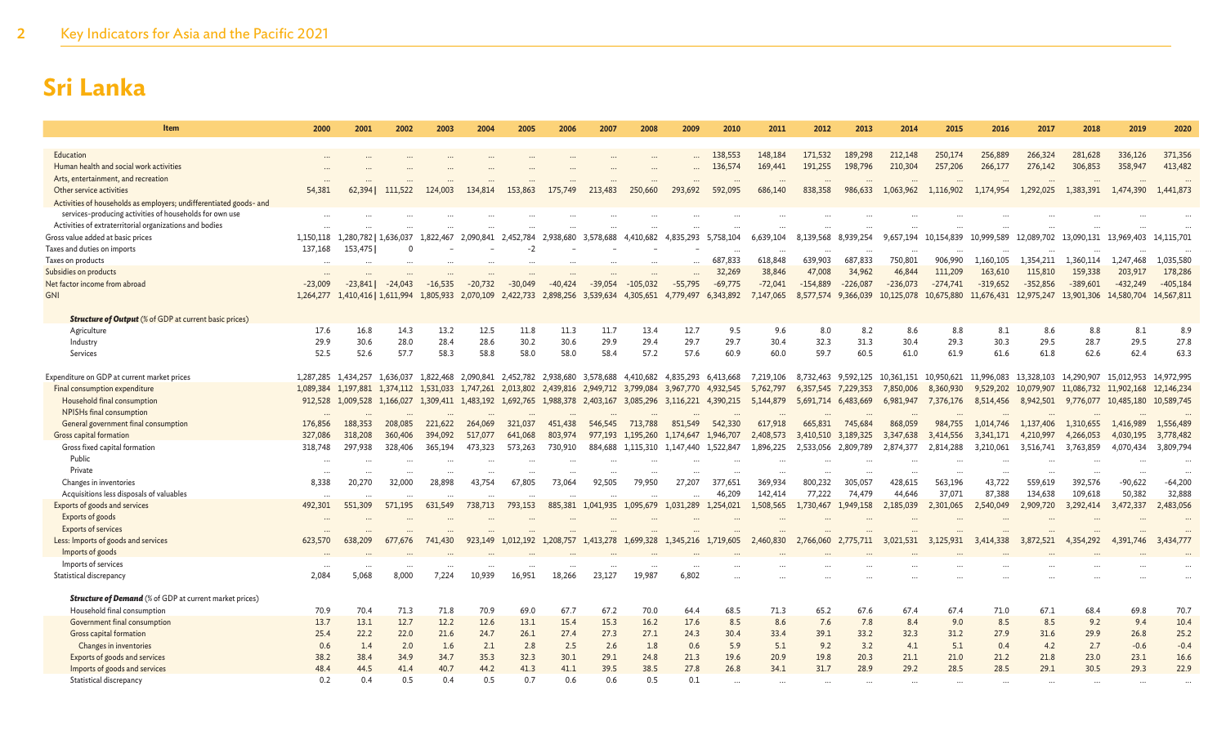| Item                                                                                          | 2000         | 2001                  | 2002         | 2003         | 2004         | 2005                          | 2006         | 2007                          | 2008         | 2009         | 2010                | 2011        | 2012                | 2013        | 2014         | 2015        | 2016         | 2017                 | 2018                  | 2019                 | 2020         |
|-----------------------------------------------------------------------------------------------|--------------|-----------------------|--------------|--------------|--------------|-------------------------------|--------------|-------------------------------|--------------|--------------|---------------------|-------------|---------------------|-------------|--------------|-------------|--------------|----------------------|-----------------------|----------------------|--------------|
|                                                                                               |              |                       |              |              |              |                               |              |                               |              |              |                     |             |                     |             |              |             |              |                      |                       |                      |              |
| Education                                                                                     |              |                       |              |              |              |                               |              |                               |              |              | 138,553             | 148,184     | 171,532             | 189,298     | 212,148      | 250,174     | 256,889      | 266,324              | 281,628               | 336,126              | 371,356      |
| Human health and social work activities                                                       |              |                       |              |              |              |                               |              |                               |              |              | 136,574             | 169,441     | 191,255             | 198,796     | 210,304      | 257,206     | 266,177      | 276,142              | 306,853               | 358,947              | 413,482      |
| Arts, entertainment, and recreation                                                           |              |                       |              |              |              |                               |              |                               |              |              |                     |             |                     |             |              |             |              |                      |                       |                      |              |
| Other service activities                                                                      | 54,381       | 62,394                | 111,522      | 124,003      | 134,814      | 153,863                       | 175,749      | 213,483                       | 250,660      | 293,692      | 592,095             | 686,140     | 838,358             | 986,633     | 1,063,962    | 1,116,902   | 1,174,954    | 1,292,025            | 1,383,391             | 1,474,390            | 1,441,873    |
| Activities of households as employers; undifferentiated goods- and                            |              |                       |              |              |              |                               |              |                               |              |              |                     |             |                     |             |              |             |              |                      |                       |                      |              |
| services-producing activities of households for own use                                       |              |                       |              |              |              |                               |              |                               |              |              |                     |             |                     |             |              |             |              |                      |                       |                      |              |
| Activities of extraterritorial organizations and bodies                                       |              |                       |              |              |              |                               |              |                               |              |              |                     |             |                     |             |              |             |              |                      |                       |                      |              |
| Gross value added at basic prices                                                             | 1.150.118    | 1.280.782             | 1.636.037    | .822.467     | 2.090.841    | 2,452,784                     | 2.938.680    | 3.578.688                     | 4,410,682    | 4.835.293    | 5.758.104           | 6.639.104   | 8.139.568           | 8.939.254   | 9.657.194    | 10.154.839  | 10,999,589   | 12.089.702           | 13.090.131            | 13.969.403           | 14,115,701   |
| Taxes and duties on imports                                                                   | 137,168      | 153,475               |              |              |              | $-2$                          |              |                               |              |              | $\cdots$            | $\ddotsc$   |                     | $\cdots$    | $\cdots$     |             | $\cdots$     |                      |                       |                      |              |
| Taxes on products                                                                             |              |                       |              |              |              |                               |              |                               |              |              | 687,833             | 618,848     | 639,903             | 687,833     | 750,801      | 906,990     | 1,160,105    | 1,354,211            | 1,360,114             | 1,247,468            | 1,035,580    |
| Subsidies on products                                                                         |              |                       |              |              |              |                               |              |                               |              |              | 32,269              | 38,846      | 47,008              | 34,962      | 46,844       | 111,209     | 163,610      | 115,810              | 159,338               | 203,917              | 178,286      |
| Net factor income from abroad                                                                 | $-23,009$    | $-23.841$             | $-24.043$    | $-16,535$    | $-20,732$    | $-30.049$                     | $-40,424$    | $-39.054$                     | $-105,032$   | $-55,795$    | $-69,775$           | $-72,041$   | $-154,889$          | $-226,087$  | $-236,073$   | $-274,741$  | $-319,652$   | $-352,856$           | $-389,601$            | $-432,249$           | $-405,184$   |
| <b>GNI</b>                                                                                    | 1,264,277    | 1,410,416   1,611,994 |              | 1.805.933    | 2.070.109    | 2.422.733                     | 2,898,256    | 3.539.634                     | 4,305,651    | 4,779,497    | 6,343,892           | 7,147,065   | 8,577,574           | 9,366,039   | 10,125,078   | 10,675,880  | 11,676,431   | 12,975,247           | 13,901,306            | 14,580,704           | 14,567,811   |
| <b>Structure of Output</b> (% of GDP at current basic prices)                                 |              |                       |              |              |              |                               |              |                               |              |              |                     |             |                     |             |              |             |              |                      |                       |                      |              |
| Agriculture                                                                                   | 17.6         | 16.8                  | 14.3         | 13.2         | 12.5         | 11.8                          | 11.3         | 11.7                          | 13.4         | 12.7         | 9.5                 | 9.6         | 8.0                 | 8.2         | 8.6          | 8.8         | 8.1          | 8.6                  | 8.8                   | 8.1                  | 8.9          |
| Industry                                                                                      | 29.9         | 30.6                  | 28.0         | 28.4         | 28.6         | 30.2                          | 30.6         | 29.9                          | 29.4         | 29.7         | 29.7                | 30.4        | 32.3                | 31.3        | 30.4         | 29.3        | 30.3         | 29.5                 | 28.7                  | 29.5                 | 27.8         |
| Services                                                                                      | 52.5         | 52.6                  | 57.7         | 58.3         | 58.8         | 58.0                          | 58.0         | 58.4                          | 57.2         | 57.6         | 60.9                | 60.0        | 59.7                | 60.5        | 61.0         | 61.9        | 61.6         | 61.8                 | 62.6                  | 62.4                 | 63.3         |
|                                                                                               |              |                       |              |              |              |                               |              |                               |              |              |                     |             |                     |             |              |             |              |                      |                       |                      |              |
| Expenditure on GDP at current market prices                                                   |              | 1,287,285 1,434,257   | 1,636,037    | 1,822,468    | 2,090,841    | 2,452,782                     | 2,938,680    | 3,578,688                     | 4,410,682    | 4,835,293    | 6,413,668           | 7,219,106   | 8,732,463           | 9,592,125   | 10,361,151   | 10,950,621  | 11,996,083   | 13,328,103           | 14,290,907            | 15,012,953           | 14,972,995   |
| Final consumption expenditure                                                                 | 1,089,384    | 1,197,881             | 1,374,112    | 1,531,033    | 1,747,261    | 2,013,802                     |              | 2,439,816 2,949,712 3,799,084 |              | 3,967,770    | 4,932,545           | 5,762,797   | 6,357,545           | 7,229,353   | 7,850,006    | 8,360,930   |              | 9,529,202 10,079,907 | 11,086,732 11,902,168 |                      | 12,146,234   |
| Household final consumption                                                                   | 912,528      | 1,009,528 1,166,027   |              |              |              | 1,309,411 1,483,192 1,692,765 | 1,988,378    | 2,403,167                     | 3,085,296    |              | 3,116,221 4,390,215 | 5,144,879   | 5,691,714 6,483,669 |             | 6,981,947    | 7,376,176   | 8,514,456    | 8,942,501            |                       | 9,776,077 10,485,180 | 10,589,745   |
| NPISHs final consumption                                                                      |              |                       |              |              |              |                               |              |                               |              |              |                     |             |                     |             |              |             |              |                      |                       |                      |              |
| General government final consumption                                                          | 176,856      | 188,353               | 208,085      | 221,622      | 264,069      | 321,037                       | 451,438      | 546,545                       | 713,788      | 851,549      | 542,330             | 617,918     | 665,831             | 745,684     | 868,059      | 984,755     | 1.014.746    | 1,137,406            | 1,310,655             | 1,416,989            | 1,556,489    |
| Gross capital formation                                                                       | 327,086      | 318,208               | 360,406      | 394,092      | 517,077      | 641,068                       | 803,974      | 977,193                       | 1,195,260    | 1,174,647    | 1,946,707           | 2,408,573   | 3,410,510           | 3,189,325   | 3,347,638    | 3,414,556   | 3,341,171    | 4,210,997            | 4,266,053             | 4,030,195            | 3,778,482    |
| Gross fixed capital formation                                                                 | 318,748      | 297.938               | 328,406      | 365,194      | 473.323      | 573.263                       | 730,910      | 884.688                       | 1,115,310    | 1.147.440    | 1.522.847           | 1,896,225   | 2,533,056           | 2,809,789   | 2,874,377    | 2,814,288   | 3,210,061    | 3,516,741            | 3,763,859             | 4,070,434            | 3.809.794    |
| Public                                                                                        |              |                       |              |              |              |                               |              |                               |              |              |                     |             |                     |             |              |             |              |                      |                       |                      |              |
| Private                                                                                       |              |                       |              |              |              |                               |              |                               |              |              |                     |             |                     |             |              |             |              |                      |                       |                      |              |
| Changes in inventories                                                                        | 8,338        | 20,270                | 32,000       | 28,898       | 43,754       | 67,805                        | 73,064       | 92,505                        | 79.950       | 27,207       | 377,651             | 369,934     | 800,232             | 305,057     | 428,615      | 563,196     | 43,722       | 559,619              | 392,576               | $-90,622$            | $-64,200$    |
| Acquisitions less disposals of valuables                                                      | $\cdots$     |                       |              |              |              |                               |              |                               |              |              | 46,209              | 142,414     | 77,222              | 74,479      | 44,646       | 37,071      | 87,388       | 134,638              | 109,618               | 50,382               | 32,888       |
| Exports of goods and services                                                                 | 492,301      | 551,309               | 571.195      | 631,549      | 738,713      | 793.153                       | 885,381      | 1,041,935                     | 1,095,679    | 1,031,289    | 1,254,021           | 1,508,565   | 1,730,467           | 1.949.158   | 2,185,039    | 2,301,065   | 2,540,049    | 2,909,720            | 3,292,414             | 3,472,337            | 2,483,056    |
| Exports of goods                                                                              |              |                       |              |              |              |                               |              |                               |              |              |                     |             |                     |             |              |             |              |                      |                       |                      |              |
| Exports of services                                                                           |              |                       |              |              |              |                               |              |                               |              |              |                     |             |                     |             |              |             |              |                      |                       |                      |              |
| Less: Imports of goods and services                                                           | 623,570      | 638,209               | 677,676      | 741,430      | 923,149      | 1,012,192                     | 1,208,757    | 1,413,278                     | 1,699,328    |              | 1,345,216 1,719,605 | 2,460,830   | 2,766,060           | 2,775,711   | 3,021,531    | 3,125,931   | 3,414,338    | 3,872,521            | 4,354,292             | 4,391,746            | 3,434,777    |
| Imports of goods                                                                              |              |                       |              |              |              |                               |              |                               |              |              |                     |             |                     |             |              |             |              |                      |                       |                      |              |
| Imports of services                                                                           |              |                       |              |              |              |                               |              |                               |              |              |                     |             |                     |             |              |             |              |                      |                       |                      |              |
| Statistical discrepancy                                                                       | 2,084        | 5,068                 | 8,000        | 7,224        | 10,939       | 16,951                        | 18,266       | 23,127                        | 19,987       | 6,802        |                     |             |                     |             |              |             |              |                      |                       |                      |              |
|                                                                                               |              |                       |              |              |              |                               |              |                               |              |              |                     |             |                     |             |              |             |              |                      |                       |                      |              |
| <b>Structure of Demand</b> (% of GDP at current market prices)<br>Household final consumption |              | 70.4                  | 71.3         | 71.8         | 70.9         | 69.0                          | 67.7         | 67.2                          | 70.0         | 64.4         | 68.5                | 71.3        | 65.2                | 67.6        | 67.4         | 67.4        | 71.0         | 67.1                 | 68.4                  | 69.8                 | 70.7         |
|                                                                                               | 70.9         |                       |              |              |              |                               |              |                               |              |              |                     |             |                     |             |              |             |              |                      |                       |                      |              |
| Government final consumption                                                                  | 13.7<br>25.4 | 13.1<br>22.2          | 12.7<br>22.0 | 12.2<br>21.6 | 12.6<br>24.7 | 13.1<br>26.1                  | 15.4<br>27.4 | 15.3<br>27.3                  | 16.2<br>27.1 | 17.6<br>24.3 | 8.5<br>30.4         | 8.6<br>33.4 | 7.6<br>39.1         | 7.8<br>33.2 | 8.4<br>32.3  | 9.0<br>31.2 | 8.5<br>27.9  | 8.5<br>31.6          | 9.2<br>29.9           | 9.4<br>26.8          | 10.4<br>25.2 |
| Gross capital formation                                                                       | 0.6          | 1.4                   | 2.0          | 1.6          | 2.1          | 2.8                           | 2.5          | 2.6                           | 1.8          | 0.6          | 5.9                 | 5.1         | 9.2                 | 3.2         | 4.1          | 5.1         | 0.4          | 4.2                  | 2.7                   | $-0.6$               | $-0.4$       |
| Changes in inventories                                                                        |              |                       |              |              |              | 32.3                          | 30.1         | 29.1                          |              |              | 19.6                | 20.9        |                     | 20.3        |              | 21.0        |              | 21.8                 |                       |                      |              |
| Exports of goods and services<br>Imports of goods and services                                | 38.2<br>48.4 | 38.4<br>44.5          | 34.9<br>41.4 | 34.7<br>40.7 | 35.3<br>44.2 | 41.3                          | 41.1         | 39.5                          | 24.8<br>38.5 | 21.3<br>27.8 | 26.8                | 34.1        | 19.8<br>31.7        | 28.9        | 21.1<br>29.2 | 28.5        | 21.2<br>28.5 | 29.1                 | 23.0<br>30.5          | 23.1<br>29.3         | 16.6<br>22.9 |
| Statistical discrepancy                                                                       | 0.2          | 0.4                   | 0.5          | 0.4          | 0.5          | 0.7                           | 0.6          | 0.6                           | 0.5          | 0.1          |                     |             |                     |             |              |             |              |                      |                       |                      |              |
|                                                                                               |              |                       |              |              |              |                               |              |                               |              |              |                     |             |                     |             |              |             |              |                      |                       |                      |              |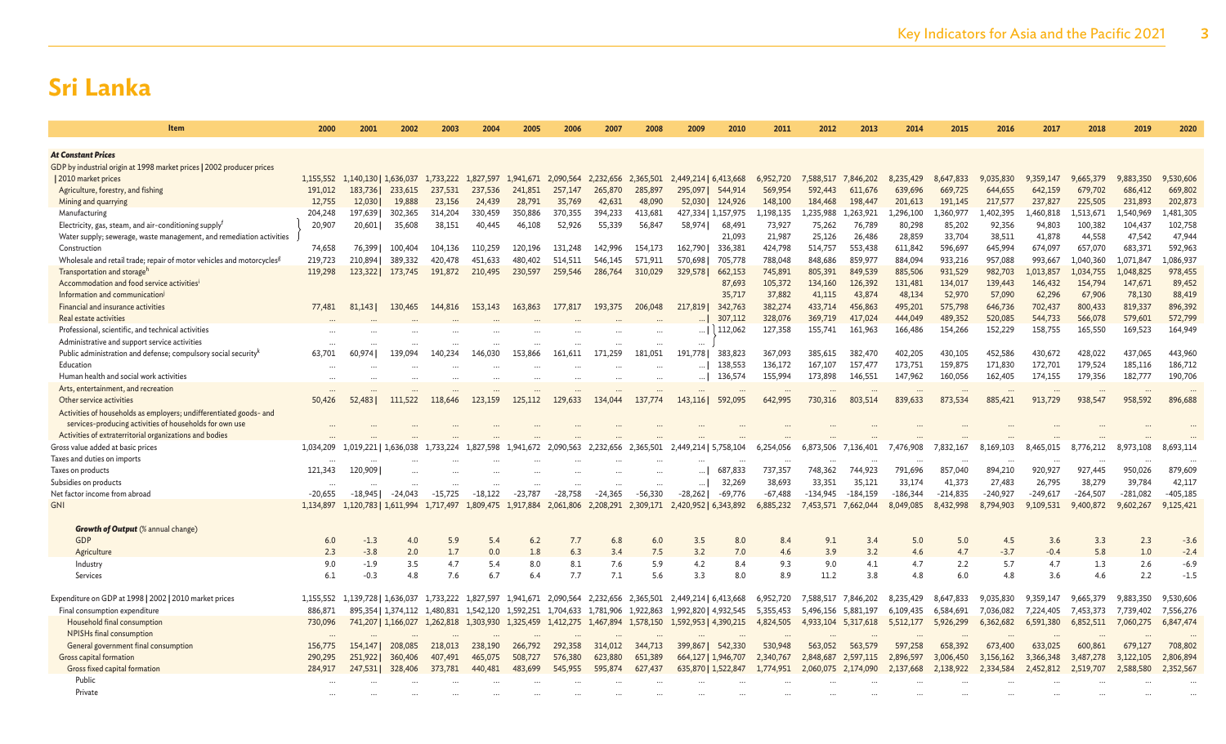| <b>Item</b>                                                                       | 2000              | 2001                  | 2002                | 2003                | 2004              | 2005              | 2006              | 2007                | 2008              | 2009                  | 2010                | 2011                | 2012             | 2013                | 2014               | 2015             | 2016               | 2017              | 2018                 | 2019                 | 2020                |
|-----------------------------------------------------------------------------------|-------------------|-----------------------|---------------------|---------------------|-------------------|-------------------|-------------------|---------------------|-------------------|-----------------------|---------------------|---------------------|------------------|---------------------|--------------------|------------------|--------------------|-------------------|----------------------|----------------------|---------------------|
|                                                                                   |                   |                       |                     |                     |                   |                   |                   |                     |                   |                       |                     |                     |                  |                     |                    |                  |                    |                   |                      |                      |                     |
| <b>At Constant Prices</b>                                                         |                   |                       |                     |                     |                   |                   |                   |                     |                   |                       |                     |                     |                  |                     |                    |                  |                    |                   |                      |                      |                     |
| GDP by industrial origin at 1998 market prices   2002 producer prices             |                   |                       |                     |                     |                   |                   |                   |                     |                   |                       |                     |                     |                  |                     |                    |                  |                    |                   |                      |                      |                     |
| 2010 market prices                                                                | 1,155,552         | 1,140,130   1,636,037 |                     | 1.733.222           | 1,827,597         | 1.941.671         | 2.090.564         | 2,232,656           | 2,365,501         | 2,449,214   6,413,668 |                     | 952,720<br>6        | 7.588.517        | 7.846.202           | 8,235,429          | 8,647,833        | 035,830            | 9.359.147         | 9.665.379            | 9,883,350            | 9,530,606           |
| Agriculture, forestry, and fishing                                                | 191,012           | 183,736               | 233,615             | 237,531             | 237,536           | 241,851           | 257,147           | 265,870             | 285,897           | 295,097               | 544,914             | 569,954             | 592,443          | 611.676             | 639,696            | 669,725          | 644,655            | 642,159           | 679,702              | 686,412              | 669,802             |
| Mining and quarrying                                                              | 12,755            | 12,030                | 19,888              | 23,156              | 24,439            | 28,791            | 35,769            | 42,631              | 48,090            | 52,030                | 124,926             | 148,100             | 184,468          | 198,447             | 201,613            | 191,145          | 217,577            | 237,827           | 225,505              | 231,893              | 202,873             |
| Manufacturing<br>Electricity, gas, steam, and air-conditioning supply             | 204,248<br>20,907 | 197,639<br>20,601     | 302,365<br>35,608   | 314,204<br>38,151   | 330,459<br>40,445 | 350,886<br>46,108 | 370,355<br>52,926 | 394,233<br>55,339   | 413,681<br>56,847 | 58,974                | 427,334   1,157,975 | 1,198,135<br>73,927 | 1,235,988        | 1,263,921<br>76,789 | ,296,100<br>80,298 | .,360,977        | ,402,395<br>92,356 | 460,818<br>94,803 | 1,513,671<br>100,382 | 1,540,969<br>104,437 | ,481,305<br>102,758 |
| Water supply; sewerage, waste management, and remediation activities              |                   |                       |                     |                     |                   |                   |                   |                     |                   |                       | 68,491<br>21,093    | 21,987              | 75,262<br>25,126 | 26,486              | 28,859             | 85,202<br>33,704 | 38,511             | 41,878            | 44,558               | 47,542               | 47,944              |
| Construction                                                                      | 74,658            | 76,399                | 100,404             | 104,136             | 110,259           | 120,196           | 131,248           | 142.996             | 154,173           | 162,790               | 336,381             | 424,798             | 514,757          | 553,438             | 611,842            | 596,697          | 645,994            | 674,097           | 657,070              | 683,371              | 592,963             |
| Wholesale and retail trade; repair of motor vehicles and motorcycles <sup>g</sup> | 219,723           | 210,894               | 389,332             | 420,478             | 451,633           | 480,402           | 514,511           | 546,145             | 571.911           | 570.698               | 705,778             | 788,048             | 848,686          | 859,977             | 884,094            | 933,216          | 957,088            | 993,667           | 1,040,360            | 1,071,847            | .086,937            |
| Transportation and storage <sup>h</sup>                                           | 119,298           | 123,322               | 173,745             | 191,872             | 210,495           | 230,597           | 259,546           | 286,764             | 310,029           | 329,578               | 662,153             | 745,891             | 805,391          | 849,539             | 885,506            | 931,529          | 982,703            | 1,013,857         | 1,034,755            | 1,048,825            | 978,455             |
| Accommodation and food service activities <sup>i</sup>                            |                   |                       |                     |                     |                   |                   |                   |                     |                   |                       | 87,693              | 105,372             | 134,160          | 126,392             | 131,481            | 134,017          | 139,443            | 146,432           | 154,794              | 147,671              | 89,452              |
| Information and communication                                                     |                   |                       |                     |                     |                   |                   |                   |                     |                   |                       | 35,717              | 37,882              | 41,115           | 43,874              | 48,134             | 52,970           | 57,090             | 62,296            | 67,906               | 78,130               | 88,419              |
| Financial and insurance activities                                                | 77,481            | 81,143                | 130,465             | 144,816             | 153,143           | 163,863           | 177,817           | 193,375             | 206,048           | 217,819               | 342,763             | 382,274             | 433,714          | 456,863             | 495,201            | 575,798          | 646,736            | 702,437           | 800,433              | 819,337              | 896,392             |
| Real estate activities                                                            |                   |                       |                     |                     |                   |                   |                   |                     |                   |                       | 307,112             | 328,076             | 369,719          | 417,024             | 444,049            | 489,352          | 520,085            | 544,733           | 566,078              | 579,601              | 572,799             |
| Professional, scientific, and technical activities                                |                   |                       |                     |                     |                   |                   |                   |                     |                   |                       | 112,062             | 127.358             | 155,741          | 161,963             | 166,486            | 154,266          | 152,229            | 158,755           | 165,550              | 169,523              | 164,949             |
| Administrative and support service activities                                     |                   |                       |                     |                     |                   |                   |                   |                     | $\cdots$          | $\cdots$              |                     |                     |                  |                     |                    |                  |                    |                   |                      |                      |                     |
| Public administration and defense; compulsory social security <sup>k</sup>        | 63.701            | 60.974 I              | 139.094             | 140.234             | 146,030           | 153.866           | 161.611           | 171.259             | 181.051           | 191.778               | 383,823             | 367,093             | 385.615          | 382,470             | 402,205            | 430.105          | 452,586            | 430,672           | 428,022              | 437,065              | 443,960             |
| Education                                                                         |                   |                       |                     |                     |                   |                   |                   |                     |                   |                       | 138,553             | 136,172             | 167,107          | 157,477             | 173,751            | 159,875          | 171,830            | 172,701           | 179,524              | 185,116              | 186,712             |
| Human health and social work activities                                           |                   |                       |                     |                     |                   |                   |                   |                     |                   |                       | 136,574             | 155,994             | 173,898          | 146,551             | 147,962            | 160,056          | 162,405            | 174,155           | 179,356              | 182,777              | 190,706             |
| Arts, entertainment, and recreation                                               |                   |                       |                     |                     |                   | $\cdots$          | $\cdots$          | $\cdots$            |                   | $\cdots$              | $\cdots$            | $\cdots$            | $\cdots$         | $\cdots$            | $\cdots$           | $\cdots$         | $\cdots$           |                   |                      | $\cdots$             | $\cdots$            |
| Other service activities                                                          | 50,426            | 52,4831               | 111,522             | 118,646             | 123,159           | 125,112           | 129,633           | 134,044             | 137.774           | 143,116               | 592,095             | 642,995             | 730,316          | 803,514             | 839,633            | 873,534          | 885,421            | 913,729           | 938,547              | 958,592              | 896,688             |
| Activities of households as employers; undifferentiated goods- and                |                   |                       |                     |                     |                   |                   |                   |                     |                   |                       |                     |                     |                  |                     |                    |                  |                    |                   |                      |                      |                     |
| services-producing activities of households for own use                           |                   |                       |                     |                     |                   |                   |                   |                     |                   |                       |                     |                     |                  |                     |                    |                  |                    |                   |                      |                      |                     |
| Activities of extraterritorial organizations and bodies                           |                   |                       |                     |                     |                   |                   |                   |                     |                   |                       |                     |                     |                  |                     |                    |                  |                    |                   |                      |                      |                     |
| Gross value added at basic prices                                                 | 1,034,209         | 1,019,221   1,636,038 |                     | 1.733.224           | .598              | 1,941,672         | 2,090,563         | 2,232,656           | 2,365,501         | 2,449,214   5,758,104 |                     | 6,254,056           | 6,873,506        | 7,136,401           | 7,476,908          | 7,832,167        | 8,169,103          | 465,015<br>8.     | 8,776,212            | 8,973,108            | 8,693,114           |
| Taxes and duties on imports                                                       |                   |                       |                     |                     |                   |                   |                   |                     |                   |                       |                     |                     |                  |                     |                    |                  |                    |                   |                      |                      |                     |
| Taxes on products                                                                 | 121,343           | 120,909               |                     |                     |                   |                   |                   |                     |                   |                       | 687,833             | 737,357             | 748,362          | 744,923             | 791.696            | 857,040          | 894.210            | 920.927           | 927,445              | 950,026              | 879,609             |
| Subsidies on products                                                             |                   |                       |                     |                     |                   |                   |                   |                     |                   |                       | 32,269              | 38.693              | 33,351           | 35,121              | 33.174             | 41,373           | 27,483             | 26,795            | 38,279               | 39,784               | 42,117              |
| Net factor income from abroac                                                     | $-20,655$         | $-18.945$             | $-24.043$           | $-15.725$           | $-18.122$         | $-23.787$         | $-28.758$         | $-24.365$           | $-56.330$         | $-28,262$             | $-69,776$           | $-67,488$           | $-134.945$       | $-184.159$          | $-186,344$         | $-214,835$       | $-240,927$         | $-249,617$        | $-264,507$           | $-281,082$           | $-405, 185$         |
| <b>GNI</b>                                                                        | 1,134,897         | 1,120,783   1,611,994 |                     | 1,717,497           | 1,809,475         | 1.917.884         | 2,061,806         | 2,208,291           | 2.309.171         | 2,420,952   6,343,892 |                     | 6,885,232           | 7,453,571        | 7.662.044           | 8,049,085          | 8,432,998        | 8.794.903          | 9.109.531         | 9.400.872            | 9,602,267            | 9,125,421           |
| <b>Growth of Output</b> (% annual change)                                         |                   |                       |                     |                     |                   |                   |                   |                     |                   |                       |                     |                     |                  |                     |                    |                  |                    |                   |                      |                      |                     |
| GDP                                                                               | 6.0               | $-1.3$                | 4.0                 | 5.9                 | 5.4               | 6.2               | 7.7               | 6.8                 | 6.0               | 3.5                   | 8.0                 | 8.4                 | 9.1              | 3.4                 | 5.0                | 5.0              | 4.5                | 3.6               | 3.3                  | 2.3                  | $-3.6$              |
| Agriculture                                                                       | 2.3               | $-3.8$                | 2.0                 | 1.7                 | 0.0               | 1.8               | 6.3               | 3.4                 | 7.5               | 3.2                   | 7.0                 | 4.6                 | 3.9              | 3.2                 | 4.6                | 4.7              | $-3.7$             | $-0.4$            | 5.8                  | 1.0                  | $-2.4$              |
| Industry                                                                          | 9.0               | $-1.9$                | 3.5                 | 4.7                 | 5.4               | 8.0               | 8.1               | 7.6                 | 5.9               | 4.2                   | 8.4                 | 9.3                 | 9.0              | 4.1                 | 4.7                | 2.2              | 5.7                | 4.7               | 1.3                  | 2.6                  | $-6.9$              |
| Services                                                                          | 6.1               | $-0.3$                | 4.8                 | 7.6                 | 6.7               | 6.4               | 7.7               | 7.1                 | 5.6               | 3.3                   | 8.0                 | 8.9                 | 11.2             | 3.8                 | 4.8                | 6.0              | 4.8                | 3.6               | 4.6                  | 2.2                  | $-1.5$              |
|                                                                                   |                   |                       |                     |                     |                   |                   |                   |                     |                   |                       |                     |                     |                  |                     |                    |                  |                    |                   |                      |                      |                     |
| Expenditure on GDP at 1998   2002   2010 market prices                            | 1.155.552         | 1,139,728   1,636,037 |                     | 1.733.222           | 1.827.597         | 1.941.671         | 2.090.564         | 2,232,656 2,365,501 |                   | 2,449,214   6,413,668 |                     | 6.952.720           | 7.588.517        | 7.846.202           | 8.235.429          | 8.647.833        | 9.035.830          | 9.359.147         | 9.665.379            | 9.883.350            | 9,530,606           |
| Final consumption expenditure                                                     | 886,871           |                       | 895,354   1,374,112 | 1.480.831 1.542.120 |                   | 1,592,251         | 1,704,633         | 1,781,906 1,922,863 |                   | 1,992,820   4,932,545 |                     | 5,355,453           | 5.496.156        | 5.881.197           | 6,109,435          | 6.584.691        | 7,036,082          | 7,224,405         | 7.453.373            | 7,739,402            | 7,556,276           |
| Household final consumption                                                       | 730,096           |                       | 741,207   1,166,027 | 1,262,818           | 1,303,930         | 1,325,459         | 1,412,275         | 1,467,894           | 1,578,150         | 1,592,953   4,390,215 |                     | 4,824,505           | 4,933,104        | 5,317,618           | 5,512,177          | 5,926,299        | 6,362,682          | 6,591,380         | 6,852,511            | 7,060,275            | 6,847,474           |
| NPISHs final consumption                                                          |                   |                       |                     |                     |                   |                   |                   |                     |                   |                       |                     |                     |                  |                     |                    |                  |                    |                   |                      |                      |                     |
| General government final consumption                                              | 156,775           | 154,147               | 208,085             | 218,013             | 238,190           | 266,792           | 292.358           | 314,012             | 344,713           | 399,867               | 542,330             | 530,948             | 563.052          | 563,579             | 597,258            | 658,392          | 673,400            | 633,025           | 600.861              | 679,127              | 708,802             |
| Gross capital formation                                                           | 290,295           | 251,922               | 360,406             | 407,491             | 465,075           | 508,727           | 576,380           | 623,880             | 651,389           |                       | 664,127   1,946,707 | 2,340,767           | 2,848,687        | 2,597,115           | 2,896,597          | 3,006,450        | 3,156,162          | 3.366.348         | 3,487,278            | 3,122,105            | 2,806,894           |
| Gross fixed capital formation                                                     | 284,917           | 247,531               | 328,406             | 373.781             | 440,481           | 483.699           | 545,955           | 595,874             | 627,437           |                       | 635,870   1,522,847 | 1.774.951           | 2.060.075        | 2.174.090           | 2.137,668          | 2.138.922        | 2.334.584          | 2.452.812         | 2,519,707            | 2,588,580            | 2,352,567           |
| Public                                                                            |                   |                       |                     |                     |                   |                   |                   |                     |                   |                       |                     |                     |                  |                     |                    |                  |                    |                   |                      |                      |                     |
| Private                                                                           |                   |                       |                     |                     |                   |                   |                   |                     |                   |                       |                     |                     |                  |                     |                    |                  |                    |                   |                      |                      |                     |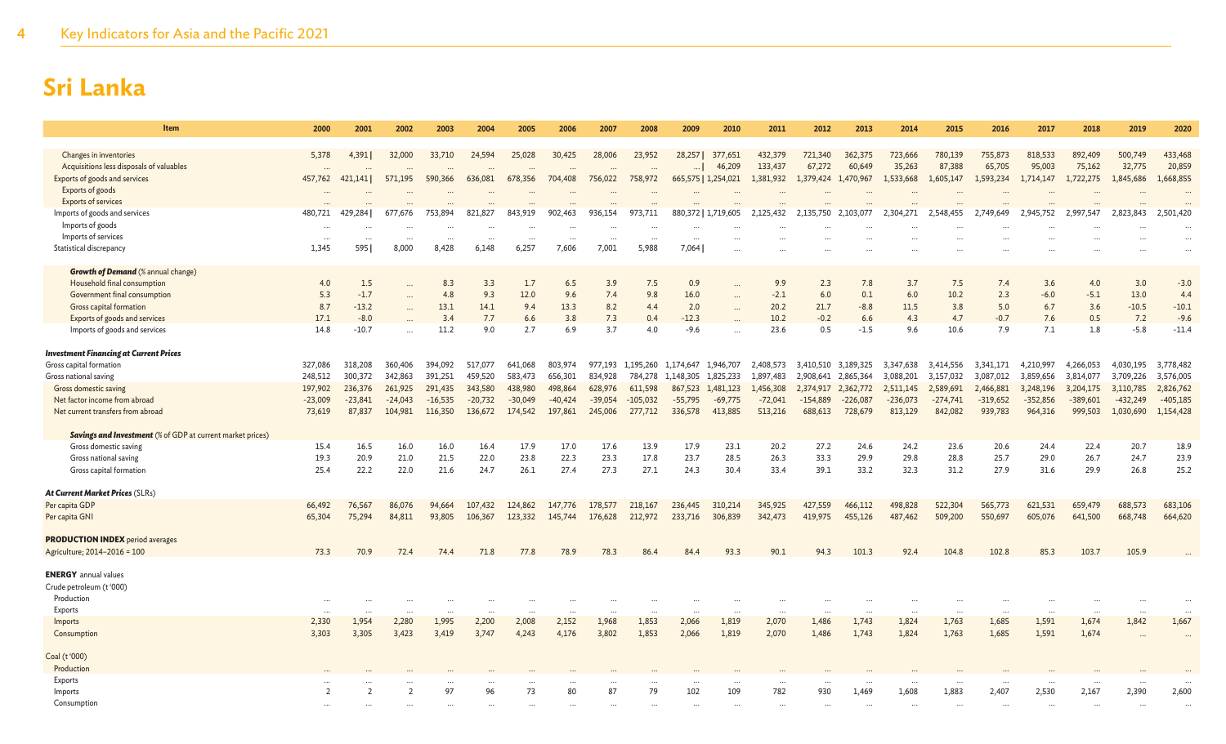| Item                                                               | 2000              | 2001             | 2002          | 2003               | 2004                | 2005                           | 2006      | 2007               | 2008       | 2009      | 2010                | 2011               | 2012                | 2013                          | 2014              | 2015              | 2016              | 2017              | 2018              | 2019              | 2020                 |
|--------------------------------------------------------------------|-------------------|------------------|---------------|--------------------|---------------------|--------------------------------|-----------|--------------------|------------|-----------|---------------------|--------------------|---------------------|-------------------------------|-------------------|-------------------|-------------------|-------------------|-------------------|-------------------|----------------------|
| Changes in inventories<br>Acquisitions less disposals of valuables | 5,378<br>$\cdots$ | 4,391            | 32,000        | 33,710<br>$\cdots$ | 24,594<br>$\ddotsc$ | 25,028<br>$\ddot{\phantom{a}}$ | 30,425    | 28,006<br>$\cdots$ | 23,952     | 28,257    | 377,651<br>46,209   | 432,379<br>133,437 | 721,340<br>67,272   | 362,375<br>60,649             | 723,666<br>35,263 | 780,139<br>87,388 | 755,873<br>65,705 | 818,533<br>95,003 | 892,409<br>75,162 | 500,749<br>32,775 | 433,468<br>20,859    |
| <b>Exports of goods and services</b>                               | 457,762           | 421.141          | 571,195       | 590,366            | 636,081             | 678,356                        | 704,408   | 756,022            | 758,972    |           | 665,575   1,254,021 | 1,381,932          | 1,379,424 1,470,967 |                               | 1,533,668         | 1,605,147         | 1,593,234         | 1,714,147         | 1,722,275         | 1,845,686         | 1,668,855            |
| Exports of goods<br><b>Exports of services</b>                     | $\cdots$          |                  |               | $\cdots$           |                     |                                |           |                    |            |           |                     |                    |                     |                               |                   |                   |                   |                   |                   |                   | $\ddots$<br>$\ddots$ |
| Imports of goods and services                                      | 480,721           | 429,284          | 677,676       | 753,894            | 821,827             | 843,919                        | 902,463   | 936,154            | 973,711    |           | 880,372   1,719,605 | 2,125,432          | 2,135,750 2,103,077 |                               | 2,304,271         | 2,548,455         | 2,749,649         | 2,945,752         | 2,997,547         | 2,823,843         | 2,501,420            |
| Imports of goods                                                   | $\cdots$          |                  |               |                    | $\cdots$            |                                |           | $\cdots$           |            |           |                     |                    |                     |                               |                   |                   |                   |                   |                   |                   | $\ddots$             |
| Imports of services                                                |                   | $\cdots$         | $\cdots$      | $\cdots$           | $\cdots$            | $\cdots$                       |           | $\cdots$           | $\cdots$   | $\cdots$  |                     |                    |                     |                               |                   |                   |                   |                   |                   |                   |                      |
| Statistical discrepancy                                            | 1,345             | 595 <sup>I</sup> | 8,000         | 8,428              | 6,148               | 6,257                          | 7,606     | 7,001              | 5,988      | 7,064     |                     |                    |                     |                               |                   |                   |                   |                   |                   |                   |                      |
| <b>Growth of Demand (% annual change)</b>                          |                   |                  |               |                    |                     |                                |           |                    |            |           |                     |                    |                     |                               |                   |                   |                   |                   |                   |                   |                      |
| Household final consumption                                        | 4.0               | 1.5              |               | 8.3                | 3.3                 | 1.7                            | 6.5       | 3.9                | 7.5        | 0.9       | $\ddotsc$           | 9.9                | 2.3                 | 7.8                           | 3.7               | 7.5               | 7.4               | 3.6               | 4.0               | 3.0               | $-3.0$               |
| Government final consumption                                       | 5.3               | $-1.7$           |               | 4.8                | 9.3                 | 12.0                           | 9.6       | 7.4                | 9.8        | 16.0      | $\ddotsc$           | $-2.1$             | 6.0                 | 0.1                           | 6.0               | 10.2              | 2.3               | $-6.0$            | $-5.1$            | 13.0              | 4.4                  |
| Gross capital formation                                            | 8.7               | $-13.2$          | $\ddotsc$     | 13.1               | 14.1                | 9.4                            | 13.3      | 8.2                | 4.4        | 2.0       |                     | 20.2               | 21.7                | $-8.8$                        | 11.5              | 3.8               | 5.0               | 6.7               | 3.6               | $-10.5$           | $-10.1$              |
| Exports of goods and services                                      | 17.1              | $-8.0$           |               | 3.4                | 7.7                 | 6.6                            | 3.8       | 7.3                | 0.4        | $-12.3$   |                     | 10.2               | $-0.2$              | 6.6                           | 4.3               | 4.7               | $-0.7$            | 7.6               | 0.5               | 7.2               | $-9.6$               |
| Imports of goods and services                                      | 14.8              | $-10.7$          |               | 11.2               | 9.0                 | 2.7                            | 6.9       | 3.7                | 4.0        | $-9.6$    |                     | 23.6               | 0.5                 | $-1.5$                        | 9.6               | 10.6              | 7.9               | 7.1               | 1.8               | $-5.8$            | $-11.4$              |
| <b>Investment Financing at Current Prices</b>                      |                   |                  |               |                    |                     |                                |           |                    |            |           |                     |                    |                     |                               |                   |                   |                   |                   |                   |                   |                      |
| Gross capital formation                                            | 327,086           | 318,208          | 360,406       | 394,092            | 517,077             | 641,068                        | 803,974   | 977,193            | 1,195,260  | 1,174,647 | 1,946,707           | 2,408,573          | 3,410,510           | 3,189,325                     | 3,347,638         | 3,414,556         | 3,341,171         | 4,210,997         | 4,266,053         | 4,030,195         | 3,778,482            |
| Gross national saving                                              | 248,512           | 300,372          | 342,863       | 391,251            | 459,520             | 583,473                        | 656,301   | 834,928            | 784,278    | 1,148,305 | 1,825,233           | 1,897,483          | 2,908,641           | 2,865,364                     | 3,088,201         | 3,157,032         | 3,087,012         | 3,859,656         | 3,814,077         | 3,709,226         | 3,576,005            |
| Gross domestic saving                                              | 197,902           | 236,376          | 261,925       | 291.435            | 343,580             | 438,980                        | 498,864   | 628,976            | 611.598    | 867,523   | 1,481,123           | 1.456,308          | 2.374.917           | 2.362.772                     | 2.511.145         | 2,589,691         | 2.466.881         | 3,248,196         | 3.204.175         | 3,110,785         | 2,826,762            |
| Net factor income from abroad                                      | $-23,009$         | $-23,841$        | $-24,043$     | $-16,535$          | $-20,732$           | $-30,049$                      | $-40,424$ | $-39,054$          | $-105,032$ | $-55,795$ | $-69,775$           | $-72,041$          | $-154,889$          | $-226,087$                    | $-236,073$        | $-274,741$        | $-319,652$        | $-352,856$        | $-389,601$        | $-432,249$        | $-405,185$           |
| Net current transfers from abroad                                  | 73,619            | 87,837           | 104,981       | 116,350            | 136,672             | 174,542                        | 197,861   | 245,006            | 277,712    | 336,578   | 413,885             | 513,216            | 688,613             | 728,679                       | 813,129           | 842,082           | 939,783           | 964,316           | 999,503           | 1,030,690         | 1,154,428            |
| <b>Savings and Investment</b> (% of GDP at current market prices)  |                   |                  |               |                    |                     |                                |           |                    |            |           |                     |                    |                     |                               |                   |                   |                   |                   |                   |                   |                      |
| Gross domestic saving                                              | 15.4              | 16.5             | 16.0          | 16.0               | 16.4                | 17.9                           | 17.0      | 17.6               | 13.9       | 17.9      | 23.1                | 20.2               | 27.2                | 24.6                          | 24.2              | 23.6              | 20.6              | 24.4              | 22.4              | 20.7              | 18.9                 |
| Gross national saving                                              | 19.3              | 20.9             | 21.0          | 21.5               | 22.0                | 23.8                           | 22.3      | 23.3               | 17.8       | 23.7      | 28.5                | 26.3               | 33.3                | 29.9                          | 29.8              | 28.8              | 25.7              | 29.0              | 26.7              | 24.7              | 23.9                 |
| Gross capital formation                                            | 25.4              | 22.2             | 22.0          | 21.6               | 24.7                | 26.1                           | 27.4      | 27.3               | 27.1       | 24.3      | 30.4                | 33.4               | 39.1                | 33.2                          | 32.3              | 31.2              | 27.9              | 31.6              | 29.9              | 26.8              | 25.2                 |
| At Current Market Prices (SLRs)                                    |                   |                  |               |                    |                     |                                |           |                    |            |           |                     |                    |                     |                               |                   |                   |                   |                   |                   |                   |                      |
| Per capita GDP                                                     | 66,492            | 76,567           | 86,076        | 94,664             | 107,432             | 124,862                        | 147,776   | 178,577            | 218,167    | 236,445   | 310,214             | 345,925            | 427,559             | 466,112                       | 498,828           | 522,304           | 565,773           | 621,531           | 659,479           | 688,573           | 683,106              |
| Per capita GNI                                                     | 65,304            | 75,294           | 84,811        | 93,805             | 106,367             | 123,332                        | 145,744   | 176,628            | 212,972    | 233,716   | 306,839             | 342,473            | 419,975             | 455,126                       | 487,462           | 509,200           | 550,697           | 605,076           | 641,500           | 668,748           | 664,620              |
| <b>PRODUCTION INDEX</b> period averages                            |                   |                  |               |                    |                     |                                |           |                    |            |           |                     |                    |                     |                               |                   |                   |                   |                   |                   |                   |                      |
| Agriculture; 2014-2016 = 100                                       | 73.3              | 70.9             | 72.4          | 74.4               | 71.8                | 77.8                           | 78.9      | 78.3               | 86.4       | 84.4      | 93.3                | 90.1               | 94.3                | 101.3                         | 92.4              | 104.8             | 102.8             | 85.3              | 103.7             | 105.9             |                      |
| <b>ENERGY</b> annual values<br>Crude petroleum (t'000)             |                   |                  |               |                    |                     |                                |           |                    |            |           |                     |                    |                     |                               |                   |                   |                   |                   |                   |                   |                      |
| Production                                                         |                   |                  |               |                    |                     |                                |           |                    |            |           |                     |                    |                     |                               |                   |                   |                   |                   |                   |                   |                      |
| Exports                                                            |                   |                  |               |                    |                     |                                |           |                    |            |           |                     |                    |                     |                               | $\ddotsc$         |                   |                   |                   |                   |                   |                      |
| Imports                                                            | 2,330             | 1,954            | 2,280         | 1,995              | $\ddotsc$<br>2,200  | 2,008                          | 2,152     | $\ddotsc$<br>1,968 | 1,853      | 2,066     | $\ddotsc$<br>1,819  | 2,070              | $\cdots$<br>1,486   | $\ddot{\phantom{a}}$<br>1,743 | 1,824             | 1,763             | $\cdots$<br>1,685 | 1,591             | 1,674             | 1,842             | 1,667                |
| Consumption                                                        | 3,303             | 3,305            | 3,423         | 3,419              | 3,747               | 4,243                          | 4,176     | 3,802              | 1,853      | 2,066     | 1,819               | 2,070              | 1,486               | 1,743                         | 1,824             | 1,763             | 1,685             | 1,591             | 1,674             |                   |                      |
| Coal (t'000)                                                       |                   |                  |               |                    |                     |                                |           |                    |            |           |                     |                    |                     |                               |                   |                   |                   |                   |                   |                   |                      |
| Production                                                         |                   |                  |               |                    |                     |                                |           |                    |            |           |                     |                    |                     |                               |                   |                   |                   |                   |                   |                   |                      |
| Exports                                                            | $\cdots$          |                  |               | $\cdots$           | $\cdots$            |                                |           | $\ddotsc$          |            |           | $\ddotsc$           | $\cdots$           |                     |                               | $\cdots$          |                   |                   |                   |                   |                   |                      |
| Imports                                                            | 2                 | $\overline{2}$   | $\mathcal{P}$ | 97                 | 96                  | 73                             | 80        | 87                 | 79         | 102       | 109                 | 782                | 930                 | 1,469                         | 1,608             | 1,883             | 2,407             | 2,530             | 2,167             | 2,390             | 2,600                |
| Consumption                                                        |                   |                  |               |                    |                     |                                |           |                    |            |           |                     |                    |                     |                               |                   |                   |                   |                   |                   |                   |                      |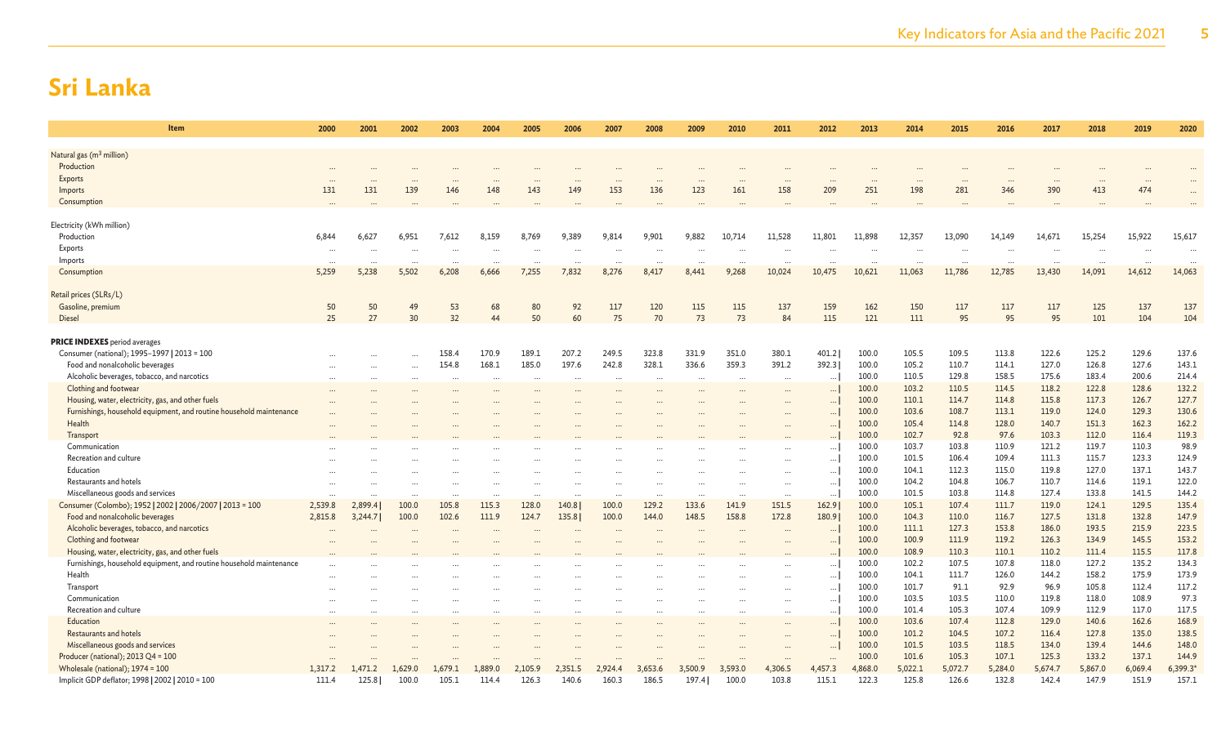| Item                                                                           | 2000            | 2001            | 2002      | 2003           | 2004                 | 2005           | 2006           | 2007           | 2008           | 2009                 | 2010           | 2011           | 2012                 | 2013           | 2014           | 2015           | 2016            | 2017           | 2018           | 2019                 | 2020           |
|--------------------------------------------------------------------------------|-----------------|-----------------|-----------|----------------|----------------------|----------------|----------------|----------------|----------------|----------------------|----------------|----------------|----------------------|----------------|----------------|----------------|-----------------|----------------|----------------|----------------------|----------------|
|                                                                                |                 |                 |           |                |                      |                |                |                |                |                      |                |                |                      |                |                |                |                 |                |                |                      |                |
| Natural gas (m <sup>3</sup> million)<br>Production                             |                 |                 |           |                |                      |                |                |                |                |                      |                |                |                      |                |                |                |                 |                |                |                      |                |
| Exports                                                                        |                 |                 |           |                |                      |                |                |                |                |                      |                |                |                      |                |                |                |                 |                |                |                      |                |
| Imports                                                                        | $\cdots$<br>131 | $\cdots$<br>131 | 139       | 146            | 148                  | 143            | 149            | 153            | 136            | 123                  | 161            | 158            | 209                  | 251            | 198            | 281            | $\cdots$<br>346 | 390            | 413            | 474                  |                |
| Consumption                                                                    |                 |                 |           |                |                      |                |                |                |                |                      |                |                |                      |                |                |                |                 |                |                |                      |                |
|                                                                                |                 |                 |           |                |                      |                |                |                |                |                      |                |                |                      |                |                |                |                 |                |                |                      |                |
| Electricity (kWh million)                                                      |                 |                 |           |                |                      |                |                |                |                |                      |                |                |                      |                |                |                |                 |                |                |                      |                |
| Production                                                                     | 6,844           | 6,627           | 6,951     | 7,612          | 8,159                | 8,769          | 9,389          | 9,814          | 9,901          | 9,882                | 10,714         | 11,528         | 11,801               | 11,898         | 12,357         | 13,090         | 14,149          | 14,671         | 15,254         | 15,922               | 15,617         |
| Exports                                                                        | $\cdots$        | $\cdots$        |           | $\cdots$       | $\cdots$             | $\cdots$       |                | $\cdots$       | $\cdots$       |                      | $\cdots$       |                |                      | $\cdots$       | $\cdots$       |                |                 |                |                |                      | .              |
| Imports                                                                        | $\cdots$        | $\cdots$        | $\cdots$  |                | $\cdots$             | $\cdots$       | $\ddotsc$      | $\cdots$       | $\cdots$       | $\ddot{\phantom{a}}$ | $\cdots$       | $\cdots$       | $\cdots$             | $\cdots$       | $\cdots$       | $\cdots$       |                 | $\cdots$       | $\cdots$       | $\ddot{\phantom{a}}$ | $\ddotsc$      |
| Consumption                                                                    | 5,259           | 5,238           | 5,502     | 6,208          | 6,666                | 7,255          | 7,832          | 8,276          | 8,417          | 8,441                | 9,268          | 10,024         | 10,475               | 10,621         | 11,063         | 11,786         | 12,785          | 13,430         | 14,091         | 14,612               | 14,063         |
| Retail prices (SLRs/L)                                                         |                 |                 |           |                |                      |                |                |                |                |                      |                |                |                      |                |                |                |                 |                |                |                      |                |
| Gasoline, premium                                                              | 50              | 50              | 49        | 53             | 68                   | 80             | 92             | 117            | 120            | 115                  | 115            | 137            | 159                  | 162            | 150            | 117            | 117             | 117            | 125            | 137                  | 137            |
| Diesel                                                                         | 25              | 27              | 30        | 32             | 44                   | 50             | 60             | 75             | 70             | 73                   | 73             | 84             | 115                  | 121            | 111            | 95             | 95              | 95             | 101            | 104                  | 104            |
|                                                                                |                 |                 |           |                |                      |                |                |                |                |                      |                |                |                      |                |                |                |                 |                |                |                      |                |
| <b>PRICE INDEXES</b> period averages                                           |                 |                 |           |                |                      |                |                |                |                |                      |                |                |                      |                |                |                |                 |                |                |                      |                |
| Consumer (national); 1995-1997   2013 = 100<br>Food and nonalcoholic beverages |                 |                 |           | 158.4<br>154.8 | 170.9<br>168.1       | 189.1<br>185.0 | 207.2<br>197.6 | 249.5<br>242.8 | 323.8<br>328.1 | 331.9<br>336.6       | 351.0<br>359.3 | 380.1<br>391.2 | 401.2<br>392.3       | 100.0<br>100.0 | 105.5<br>105.2 | 109.5<br>110.7 | 113.8<br>114.1  | 122.6<br>127.0 | 125.2<br>126.8 | 129.6<br>127.6       | 137.6<br>143.1 |
| Alcoholic beverages, tobacco, and narcotics                                    |                 | $\ddotsc$       | $\ddotsc$ |                |                      |                |                |                |                |                      |                |                |                      | 100.0          | 110.5          | 129.8          | 158.5           | 175.6          | 183.4          | 200.6                | 214.4          |
| Clothing and footwear                                                          |                 |                 |           |                |                      |                |                |                | $\cdots$       |                      |                |                | $\cdots$<br>$\ldots$ | 100.0          | 103.2          | 110.5          | 114.5           | 118.2          | 122.8          | 128.6                | 132.2          |
| Housing, water, electricity, gas, and other fuels                              |                 |                 |           |                |                      | $\cdots$       |                | $\cdots$       |                |                      | $\cdots$       | $\cdots$       |                      | 100.0          | 110.1          | 114.7          | 114.8           | 115.8          | 117.3          | 126.7                | 127.7          |
| Furnishings, household equipment, and routine household maintenance            |                 |                 |           |                |                      |                |                |                |                |                      |                |                | $\ldots$             | 100.0          | 103.6          | 108.7          | 113.1           | 119.0          | 124.0          | 129.3                | 130.6          |
| Health                                                                         |                 |                 |           |                |                      |                |                |                |                |                      |                |                | $\ldots$             | 100.0          | 105.4          | 114.8          | 128.0           | 140.7          | 151.3          | 162.3                | 162.2          |
| Transport                                                                      |                 |                 |           |                |                      |                |                |                |                |                      |                |                |                      | 100.0          | 102.7          | 92.8           | 97.6            | 103.3          | 112.0          | 116.4                | 119.3          |
| Communication                                                                  |                 |                 |           |                |                      |                |                |                |                |                      |                |                | $\ldots$             | 100.0          | 103.7          | 103.8          | 110.9           | 121.2          | 119.7          | 110.3                | 98.9           |
| Recreation and culture                                                         |                 |                 |           |                |                      |                |                |                |                |                      |                |                | $\ldots$             | 100.0          | 101.5          | 106.4          | 109.4           | 111.3          | 115.7          | 123.3                | 124.9          |
| Education                                                                      |                 |                 |           |                |                      |                |                |                |                |                      |                |                | $\ldots$             | 100.0          | 104.1          | 112.3          | 115.0           | 119.8          | 127.0          | 137.1                | 143.7          |
| Restaurants and hotels                                                         |                 |                 |           |                |                      |                |                |                |                |                      |                |                |                      | 100.0          | 104.2          | 104.8          | 106.7           | 110.7          | 114.6          | 119.1                | 122.0          |
| Miscellaneous goods and services                                               | $\ddots$        | $\cdots$        |           |                | $\cdots$             | $\cdots$       | $\ddotsc$      | $\cdots$       | $\cdots$       | $\cdots$             |                | $\cdots$       | $\cdots$             | 100.0          | 101.5          | 103.8          | 114.8           | 127.4          | 133.8          | 141.5                | 144.2          |
| Consumer (Colombo); 1952   2002   2006/2007   2013 = 100                       | 2,539.8         | 2,899.4         | 100.0     | 105.8          | 115.3                | 128.0          | 140.8          | 100.0          | 129.2          | 133.6                | 141.9          | 151.5          | 162.9                | 100.0          | 105.1          | 107.4          | 111.7           | 119.0          | 124.1          | 129.5                | 135.4          |
| Food and nonalcoholic beverages                                                | 2,815.8         | 3,244.7         | 100.0     | 102.6          | 111.9                | 124.7          | 135.8          | 100.0          | 144.0          | 148.5                | 158.8          | 172.8          | 180.9                | 100.0          | 104.3          | 110.0          | 116.7           | 127.5          | 131.8          | 132.8                | 147.9          |
| Alcoholic beverages, tobacco, and narcotics                                    |                 |                 |           |                |                      |                |                |                |                |                      |                |                |                      | 100.0          | 111.1          | 127.3          | 153.8           | 186.0          | 193.5          | 215.9                | 223.5          |
| Clothing and footwear                                                          |                 |                 |           |                |                      |                |                |                |                |                      |                |                | $\ldots$             | 100.0          | 100.9          | 111.9          | 119.2           | 126.3          | 134.9          | 145.5                | 153.2          |
| Housing, water, electricity, gas, and other fuels                              |                 |                 |           |                |                      |                |                |                |                |                      |                |                |                      | 100.0          | 108.9          | 110.3          | 110.1           | 110.2          | 111.4          | 115.5                | 117.8          |
| Furnishings, household equipment, and routine household maintenance            |                 |                 |           |                |                      |                |                |                |                |                      |                |                | $\ldots$             | 100.0          | 102.2          | 107.5          | 107.8           | 118.0          | 127.2          | 135.2                | 134.3          |
| Health                                                                         |                 |                 |           |                |                      |                |                |                |                |                      |                |                | $\ldots$             | 100.0          | 104.1          | 111.7          | 126.0           | 144.2          | 158.2          | 175.9                | 173.9          |
| Transport                                                                      |                 |                 |           |                |                      |                |                |                |                |                      |                |                | $\ldots$             | 100.0          | 101.7          | 91.1           | 92.9            | 96.9           | 105.8          | 112.4<br>108.9       | 117.2<br>97.3  |
| Communication                                                                  |                 | $\cdots$        |           |                |                      | $\cdots$       |                | $\cdots$       |                |                      | $\cdots$       | $\cdots$       | $\ldots$             | 100.0          | 103.5<br>101.4 | 103.5<br>105.3 | 110.0<br>107.4  | 119.8<br>109.9 | 118.0<br>112.9 | 117.0                | 117.5          |
| Recreation and culture<br>Education                                            |                 |                 |           |                | $\ddot{\phantom{a}}$ |                |                |                |                |                      | $\ddotsc$      | $\ddotsc$      | $\ldots$             | 100.0<br>100.0 | 103.6          | 107.4          | 112.8           | 129.0          | 140.6          | 162.6                | 168.9          |
| <b>Restaurants and hotels</b>                                                  |                 |                 |           |                |                      |                |                |                |                |                      |                |                |                      | 100.0          | 101.2          | 104.5          | 107.2           | 116.4          | 127.8          | 135.0                | 138.5          |
| Miscellaneous goods and services                                               |                 |                 |           |                |                      |                |                |                |                |                      |                |                | $\ldots$             | 100.0          | 101.5          | 103.5          | 118.5           | 134.0          | 139.4          | 144.6                | 148.0          |
| Producer (national); 2013 Q4 = 100                                             |                 |                 |           |                |                      |                |                |                |                |                      |                |                |                      | 100.0          | 101.6          | 105.3          | 107.1           | 125.3          | 133.2          | 137.1                | 144.9          |
| Wholesale (national); 1974 = 100                                               | 1,317.2         | 1,471.2         | 1,629.0   | 1,679.1        | 1,889.0              | 2,105.9        | 2,351.5        | 2,924.4        | 3,653.6        | 3,500.9              | 3,593.0        | 4,306.5        | 4,457.3              | 4,868.0        | 5,022.1        | 5,072.7        | 5,284.0         | 5,674.7        | 5,867.0        | 6,069.4              | 6,399.3*       |
| Implicit GDP deflator; 1998   2002   2010 = 100                                | 111.4           | 125.8           | 100.0     | 105.1          | 114.4                | 126.3          | 140.6          | 160.3          | 186.5          | 197.4                | 100.0          | 103.8          | 115.1                | 122.3          | 125.8          | 126.6          | 132.8           | 142.4          | 147.9          | 151.9                | 157.1          |
|                                                                                |                 |                 |           |                |                      |                |                |                |                |                      |                |                |                      |                |                |                |                 |                |                |                      |                |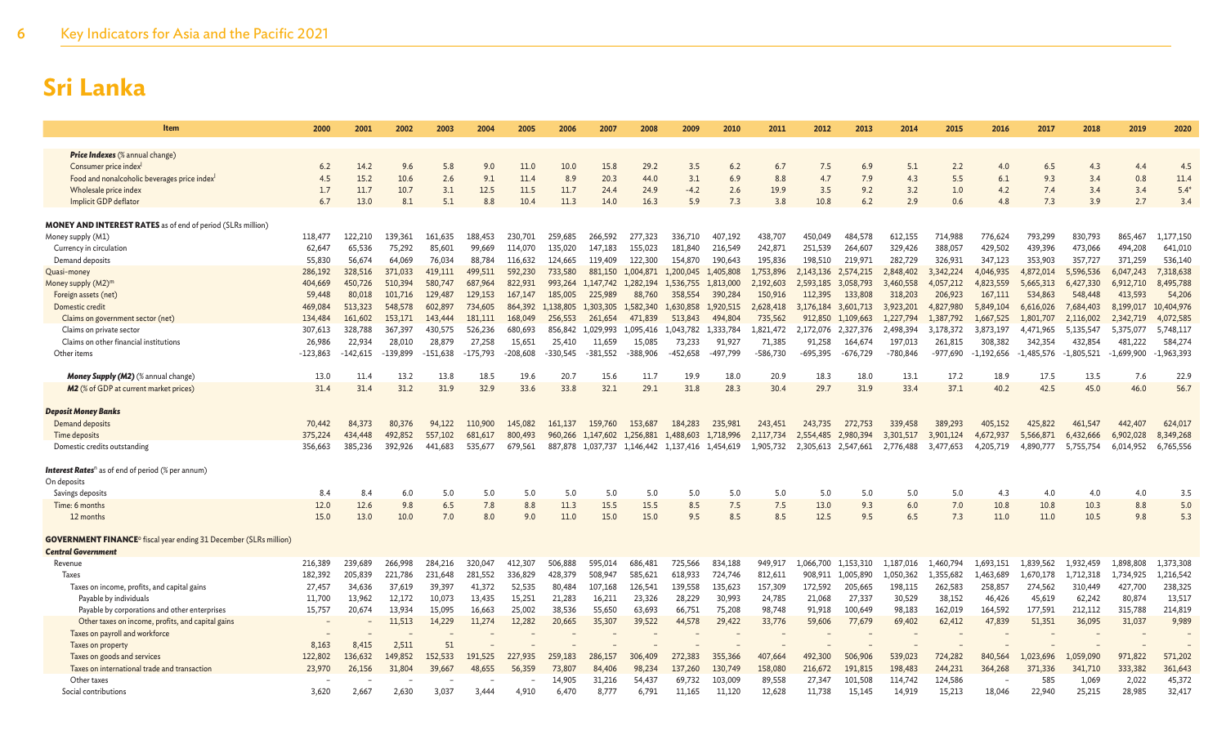| Item                                                                                | 2000               | 2001               | 2002               | 2003               | 2004               | 2005               | 2006               | 2007                 | 2008                 | 2009                 | 2010                 | 2011                | 2012                 | 2013                   | 2014                   | 2015                   | 2016                   | 2017                   | 2018                   | 2019                   | 2020                   |
|-------------------------------------------------------------------------------------|--------------------|--------------------|--------------------|--------------------|--------------------|--------------------|--------------------|----------------------|----------------------|----------------------|----------------------|---------------------|----------------------|------------------------|------------------------|------------------------|------------------------|------------------------|------------------------|------------------------|------------------------|
|                                                                                     |                    |                    |                    |                    |                    |                    |                    |                      |                      |                      |                      |                     |                      |                        |                        |                        |                        |                        |                        |                        |                        |
| Price Indexes (% annual change)                                                     |                    |                    |                    |                    |                    |                    |                    |                      |                      |                      |                      |                     |                      |                        |                        |                        |                        |                        |                        |                        |                        |
| Consumer price index <sup>1</sup><br>Food and nonalcoholic beverages price index    | 6.2<br>4.5         | 14.2<br>15.2       | 9.6<br>10.6        | 5.8<br>2.6         | 9.0<br>9.1         | 11.0<br>11.4       | 10.0<br>8.9        | 15.8<br>20.3         | 29.2<br>44.0         | 3.5<br>3.1           | 6.2<br>6.9           | 6.7<br>8.8          | 7.5<br>4.7           | 6.9<br>7.9             | 5.1<br>4.3             | 2.2<br>5.5             | 4.0<br>6.1             | 6.5<br>9.3             | 4.3<br>3.4             | 4.4<br>0.8             | 4.5<br>11.4            |
| Wholesale price index                                                               | 1.7                | 11.7               | 10.7               | 3.1                | 12.5               | 11.5               | 11.7               | 24.4                 | 24.9                 | $-4.2$               | 2.6                  | 19.9                | 3.5                  | 9.2                    | 3.2                    | 1.0                    | 4.2                    | 7.4                    | 3.4                    | 3.4                    | $5.4*$                 |
| Implicit GDP deflator                                                               | 6.7                | 13.0               | 8.1                | 5.1                | 8.8                | 10.4               | 11.3               | 14.0                 | 16.3                 | 5.9                  | 7.3                  | 3.8                 | 10.8                 | 6.2                    | 2.9                    | 0.6                    | 4.8                    | 7.3                    | 3.9                    | 2.7                    | 3.4                    |
|                                                                                     |                    |                    |                    |                    |                    |                    |                    |                      |                      |                      |                      |                     |                      |                        |                        |                        |                        |                        |                        |                        |                        |
| <b>MONEY AND INTEREST RATES</b> as of end of period (SLRs million)                  |                    |                    |                    |                    |                    |                    |                    |                      |                      |                      |                      |                     |                      |                        |                        |                        |                        |                        |                        |                        |                        |
| Money supply (M1)                                                                   | 118,477            | 122,210            | 139,361            | 161,635            | 188,453            | 230,701            | 259,685            | 266,592              | 277,323              | 336,710              | 407,192              | 438,707             | 450,049              | 484,578                | 612,155                | 714,988                | 776,624                | 793,299                | 830,793                | 865,467                | 1,177,150              |
| Currency in circulation                                                             | 62,647             | 65,536             | 75,292             | 85,601             | 99,669             | 114,070            | 135,020            | 147,183              | 155,023              | 181,840              | 216,549              | 242,871             | 251,539              | 264,607                | 329,426                | 388,057                | 429,502                | 439,396                | 473,066                | 494,208                | 641,010                |
| Demand deposits                                                                     | 55,830             | 56,674             | 64.069             | 76,034             | 88,784             | 116.632            | 124.665            | 119,409              | 122,300              | 154,870              | 190,643              | 195,836             | 198,510              | 219,971                | 282,729                | 326,931                | 347,123                | 353,903                | 357,727                | 371,259                | 536,140                |
| Quasi-money                                                                         | 286,192            | 328,516            | 371,033            | 419,111            | 499,511            | 592,230            | 733,580            | 881,150              | 1,004,871            | 1,200,045            | 1,405,808            | 1,753,896           | 2,143,136            | 2,574,215              | 2,848,402              | 3,342,224              | 4,046,935              | 4,872,014              | 5,596,536              | 6,047,243              | 7,318,638              |
| Money supply (M2) <sup>m</sup>                                                      | 404,669            | 450,726            | 510,394            | 580,747            | 687,964            | 822,931            | 993,264            | 1,147,742            | 1,282,194            | 1,536,755            | 1,813,000            | 2,192,603           | 2,593,185            | 3,058,793              | 3,460,558              | 4,057,212              | 4,823,559              | 5,665,313              | 6,427,330              | 6,912,710              | 8,495,788              |
| Foreign assets (net)                                                                | 59,448             | 80,018             | 101,716            | 129,487            | 129,153            | 167,147            | 185,005            | 225,989              | 88,760               | 358,554              | 390,284              | 150,916             | 112,395              | 133,808                | 318,203                | 206,923                | 167,111                | 534,863                | 548,448                | 413,593                | 54,206                 |
| Domestic credit                                                                     | 469,084            | 513,323            | 548,578<br>153,171 | 602,897            | 734,605            | 864,392            | 1,138,805          | 1,303,305            | 1,582,340            | 1,630,858            | 1,920,515            | 2,628,418           | 3,176,184            | 3,601,713              | 3,923,201<br>1.227.794 | 4,827,980<br>1.387.792 | 5,849,104              | 6,616,026              | 7,684,403              | 8,199,017              | 10,404,976             |
| Claims on government sector (net)<br>Claims on private sector                       | 134,484<br>307.613 | 161,602<br>328,788 | 367,397            | 143,444<br>430.575 | 181,111<br>526,236 | 168,049<br>680.693 | 256,553<br>856,842 | 261,654<br>1.029.993 | 471,839<br>1.095.416 | 513,843<br>1.043.782 | 494,804<br>1.333.784 | 735,562<br>.821.472 | 912,850<br>2.172.076 | 1.109.663<br>2.327.376 | 2.498.394              | 3.178.372              | 1,667,525<br>3.873.197 | 1,801,707<br>4.471.965 | 2.116.002<br>5.135.547 | 2,342,719<br>5.375.077 | 4,072,585<br>5,748,117 |
| Claims on other financial institutions                                              | 26,986             | 22,934             | 28,010             | 28,879             | 27,258             | 15,651             | 25,410             | 11,659               | 15,085               | 73,233               | 91,927               | 71,385              | 91,258               | 164,674                | 197,013                | 261,815                | 308,382                | 342,354                | 432,854                | 481,222                | 584,274                |
| Other items                                                                         | $-123.863$         | $-142,615$         | 139.899            | $-151.638$         | $-175.793$         | $-208,608$         | $-330.545$         | $-381.552$           | -388.906             | 452.658              | -497.799             | 586,730             | $-695.395$           | $-676.729$             | -780,846               | $-977.690$             | $-1,192,656$           | $-1.485.576$           | $-1,805,521$           | $-1.699.900$           | $-1,963,393$           |
|                                                                                     |                    |                    |                    |                    |                    |                    |                    |                      |                      |                      |                      |                     |                      |                        |                        |                        |                        |                        |                        |                        |                        |
| <b>Money Supply (M2)</b> (% annual change)                                          | 13.0               | 11.4               | 13.2               | 13.8               | 18.5               | 19.6               | 20.7               | 15.6                 | 11.7                 | 19.9                 | 18.0                 | 20.9                | 18.3                 | 18.0                   | 13.1                   | 17.2                   | 18.9                   | 17.5                   | 13.5                   | 7.6                    | 22.9                   |
| <b>M2</b> (% of GDP at current market prices)                                       | 31.4               | 31.4               | 31.2               | 31.9               | 32.9               | 33.6               | 33.8               | 32.1                 | 29.1                 | 31.8                 | 28.3                 | 30.4                | 29.7                 | 31.9                   | 33.4                   | 37.1                   | 40.2                   | 42.5                   | 45.0                   | 46.0                   | 56.7                   |
|                                                                                     |                    |                    |                    |                    |                    |                    |                    |                      |                      |                      |                      |                     |                      |                        |                        |                        |                        |                        |                        |                        |                        |
| <b>Deposit Money Banks</b>                                                          |                    |                    |                    |                    |                    |                    |                    |                      |                      |                      |                      |                     |                      |                        |                        |                        |                        |                        |                        |                        |                        |
| Demand deposits                                                                     | 70,442             | 84,373             | 80,376             | 94,122             | 110,900            | 145,082            | 161,137            | 159,760              | 153,687              | 184,283              | 235,981              | 243,451             | 243,735              | 272,753                | 339,458                | 389,293                | 405.152                | 425,822                | 461,547                | 442,407                | 624,017                |
| Time deposits                                                                       | 375,224            | 434,448            | 492,852            | 557,102            | 681,617            | 800,493            | 960,266            | 1,147,602            | 1.256,881            | 1,488,603            | 1,718,996            | 2.117.734           | 2,554,485            | 2,980,394              | 3,301,517              | 3.901.124              | 4,672,937              | 5,566,871              | 6,432,666              | 6,902,028              | 8,349,268              |
| Domestic credits outstanding                                                        | 356,663            | 385,236            | 392,926            | 441,683            | 535,677            | 679,561            | 887,878            | 1,037,737            | 1,146,442            | 1,137,416            | 1,454,619            | 1,905,732           | 2,305,613            | 2,547,661              | 2,776,488              | 3,477,653              | 4,205,719              | 4,890,777              | 5,755,754              | 6,014,952              | 6,765,556              |
| <b>Interest Rates</b> <sup>n</sup> as of end of period (% per annum)                |                    |                    |                    |                    |                    |                    |                    |                      |                      |                      |                      |                     |                      |                        |                        |                        |                        |                        |                        |                        |                        |
| On deposits                                                                         |                    |                    |                    |                    |                    |                    |                    |                      |                      |                      |                      |                     |                      |                        |                        |                        |                        |                        |                        |                        |                        |
| Savings deposits                                                                    | 8.4                | 8.4                | 6.0                | 5.0                | 5.0                | 5.0                | 5.0                | 5.0                  | 5.0                  | 5.0                  | 5.0                  | 5.0                 | 5.0                  | 5.0                    | 5.0                    | 5.0                    | 4.3                    | 4.0                    | 4.0                    | 4.0                    | 3.5                    |
| Time: 6 months                                                                      | 12.0               | 12.6               | 9.8                | 6.5                | 7.8                | 8.8                | 11.3               | 15.5                 | 15.5                 | 8.5                  | 7.5                  | 7.5                 | 13.0                 | 9.3                    | 6.0                    | 7.0                    | 10.8                   | 10.8                   | 10.3                   | 8.8                    | 5.0                    |
| 12 months                                                                           | 15.0               | 13.0               | 10.0               | 7.0                | 8.0                | 9.0                | 11.0               | 15.0                 | 15.0                 | 9.5                  | 8.5                  | 8.5                 | 12.5                 | 9.5                    | 6.5                    | 7.3                    | 11.0                   | 11.0                   | 10.5                   | 9.8                    | 5.3                    |
|                                                                                     |                    |                    |                    |                    |                    |                    |                    |                      |                      |                      |                      |                     |                      |                        |                        |                        |                        |                        |                        |                        |                        |
| <b>GOVERNMENT FINANCE<sup>o</sup></b> fiscal year ending 31 December (SLRs million) |                    |                    |                    |                    |                    |                    |                    |                      |                      |                      |                      |                     |                      |                        |                        |                        |                        |                        |                        |                        |                        |
| <b>Central Government</b>                                                           |                    |                    |                    |                    |                    |                    |                    |                      |                      |                      |                      |                     |                      |                        |                        |                        |                        |                        |                        |                        |                        |
| Revenue                                                                             | 216,389            | 239,689            | 266,998            | 284,216            | 320,047            | 412,307            | 506,888            | 595,014              | 686,481              | 725,566              | 834,188              | 949,917             | 1.066.700            | 1.153.310              | 1,187,016              | 1.460.794              | 1,693,151              | 1,839,562              | 1,932,459              | 1,898,808              | 1,373,308              |
| <b>Taxes</b>                                                                        | 182,392            | 205,839            | 221.786            | 231.648            | 281,552            | 336,829            | 428,379            | 508,947              | 585.621              | 618,933              | 724,746              | 812,611             | 908,911              | 1,005,890              | 1,050,362              | 1,355,682              | 1,463,689              | 1,670,178              | 1,712,318              | 1,734,925              | 1,216,542              |
| Taxes on income, profits, and capital gains                                         | 27,457             | 34,636             | 37,619             | 39,397             | 41,372             | 52,535             | 80,484             | 107,168              | 126,541              | 139,558              | 135,623              | 157,309             | 172,592              | 205,665                | 198,115                | 262,583                | 258,857                | 274,562                | 310,449                | 427,700                | 238,325                |
| Payable by individuals                                                              | 11,700             | 13,962             | 12,172             | 10,073             | 13,435             | 15,251             | 21,283             | 16,211               | 23,326               | 28,229               | 30,993               | 24,785              | 21,068               | 27,337                 | 30,529                 | 38,152                 | 46,426                 | 45,619                 | 62,242                 | 80,874                 | 13,517                 |
| Payable by corporations and other enterprises                                       | 15,757             | 20,674             | 13,934             | 15,095             | 16,663             | 25,002             | 38,536             | 55,650               | 63,693               | 66,751               | 75,208               | 98,748              | 91,918               | 100,649                | 98,183                 | 162,019                | 164,592                | 177,591                | 212,112                | 315,788                | 214,819                |
| Other taxes on income, profits, and capital gains<br>Taxes on payroll and workforce |                    |                    | 11,513             | 14,229             | 11,274             | 12,282             | 20,665             | 35,307               | 39,522               | 44,578               | 29,422               | 33,776              | 59,606               | 77,679                 | 69,402                 | 62,412                 | 47,839                 | 51,351                 | 36,095                 | 31,037                 | 9,989                  |
| Taxes on property                                                                   | 8.163              | 8.415              | 2.511              | 51                 |                    |                    |                    |                      |                      |                      |                      |                     |                      |                        |                        |                        |                        |                        |                        |                        |                        |
| Taxes on goods and services                                                         | 122,802            | 136,632            | 149,852            | 152,533            | 191,525            | 227,935            | 259,183            | 286,157              | 306,409              | 272,383              | 355,366              | 407,664             | 492,300              | 506,906                | 539,023                | 724,282                | 840,564                | 1,023,696              | 1,059,090              | 971,822                | 571,202                |
| Taxes on international trade and transaction                                        | 23,970             | 26,156             | 31,804             | 39,667             | 48.655             | 56,359             | 73,807             | 84,406               | 98,234               | 137,260              | 130,749              | 158,080             | 216,672              | 191,815                | 198,483                | 244,231                | 364,268                | 371,336                | 341,710                | 333,382                | 361,643                |
| Other taxes                                                                         |                    |                    |                    |                    |                    |                    | 14.905             | 31,216               | 54,437               | 69.732               | 103,009              | 89.558              | 27.347               | 101,508                | 114,742                | 124,586                |                        | 585                    | 1.069                  | 2,022                  | 45,372                 |
| Social contributions                                                                | 3,620              | 2,667              | 2,630              | 3,037              | 3,444              | 4,910              | 6,470              | 8,777                | 6,791                | 11,165               | 11,120               | 12,628              | 11,738               | 15,145                 | 14,919                 | 15,213                 | 18,046                 | 22,940                 | 25,215                 | 28,985                 | 32,417                 |
|                                                                                     |                    |                    |                    |                    |                    |                    |                    |                      |                      |                      |                      |                     |                      |                        |                        |                        |                        |                        |                        |                        |                        |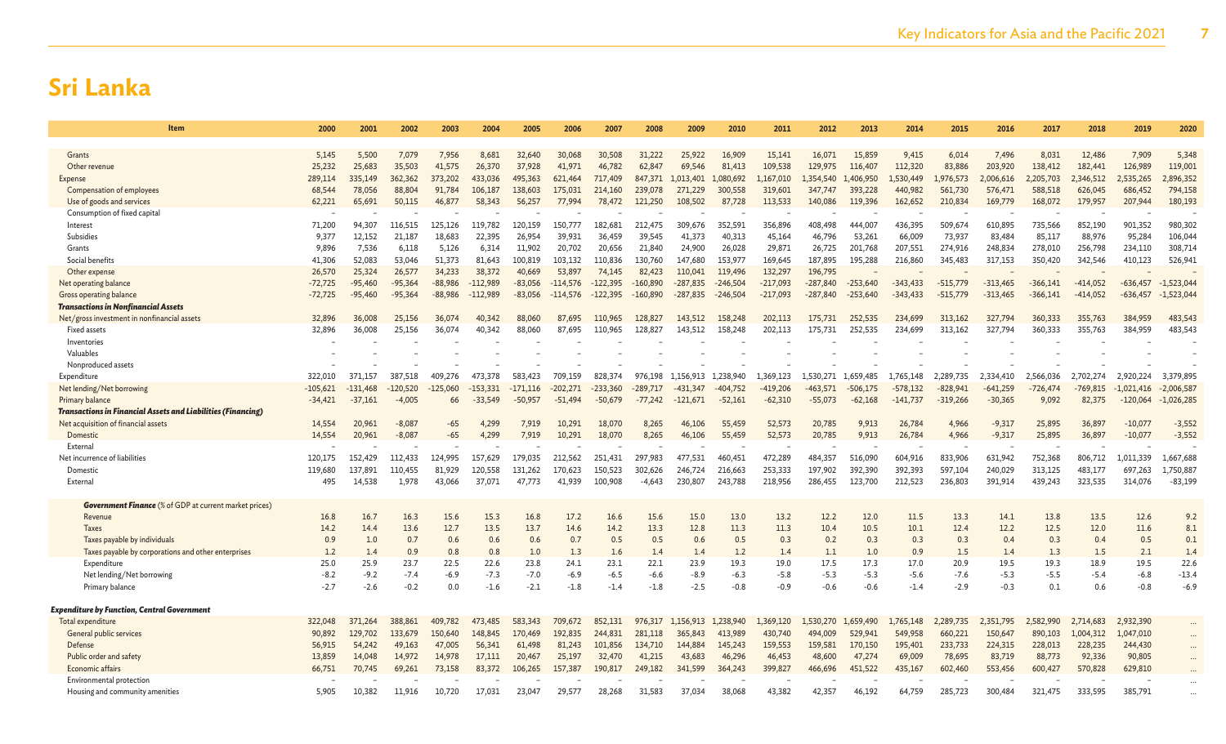| Item                                                          | 2000             | 2001       | 2002                 | 2003           | 2004           | 2005       | 2006       | 2007       | 2008           | 2009       | 2010       | 2011       | 2012       | 2013           | 2014       | 2015           | 2016                 | 2017       | 2018             | 2019                 | 2020                 |
|---------------------------------------------------------------|------------------|------------|----------------------|----------------|----------------|------------|------------|------------|----------------|------------|------------|------------|------------|----------------|------------|----------------|----------------------|------------|------------------|----------------------|----------------------|
|                                                               |                  |            |                      |                |                |            |            |            |                |            |            |            |            |                |            |                |                      |            |                  |                      |                      |
| Grants                                                        | 5.145            | 5,500      | 7.079                | 7.956          | 8,681          | 32,640     | 30,068     | 30,508     | 31.222         | 25,922     | 16,909     | 15,141     | 16.071     | 15,859         | 9,415      | 6,014          | 7,496                | 8.031      | 12,486           | 7,909                | 5,348                |
| Other revenue                                                 | 25,232           | 25,683     | 35,503               | 41.575         | 26,370         | 37,928     | 41.971     | 46,782     | 62.847         | 69.546     | 81,413     | 109.538    | 129.975    | 116,407        | 112,320    | 83,886         | 203,920              | 138,412    | 182,441          | 126,989              | 119,001              |
| Expense                                                       | 289,114          | 335,149    | 362,362              | 373,202        | 433,036        | 495.363    | 621,464    | 717.409    | 847.371        | 1,013,401  | 1,080,692  | ,167,010   | 1.354.540  | 1,406,950      | .,530,449  | .,976,573      | ,006,616             | 2,205,703  | 2,346,512        | 2,535,265            | 2,896,352            |
| Compensation of employees                                     | 68,544           | 78,056     | 88,804               | 91,784         | 106,187        | 138,603    | 175,031    | 214,160    | 239,078        | 271,229    | 300,558    | 319,601    | 347,747    | 393,228        | 440,982    | 561,730        | 576,471              | 588,518    | 626,045          | 686,452              | 794,158              |
| Use of goods and services                                     | 62,221           | 65,691     | 50,115               | 46,877         | 58,343         | 56,257     | 77,994     | 78,472     | 121,250        | 108,502    | 87,728     | 113,533    | 140,086    | 119,396        | 162,652    | 210,834        | 169,779              | 168,072    | 179,957          | 207,944              | 180,193              |
| Consumption of fixed capital                                  |                  |            |                      |                |                |            |            |            |                |            |            |            |            |                |            |                |                      |            |                  |                      |                      |
| Interest                                                      | 71,200           | 94,307     | 116,515              | 125.126        | 119,782        | 120,159    | 150.777    | 182,681    | 212.475        | 309.676    | 352,591    | 356,896    | 408,498    | 444.007        | 436,395    | 509.674        | 610,895              | 735,566    | 852,190          | 901,352              | 980,302              |
| Subsidies                                                     | 9,377            | 12,152     | 21,187               | 18,683         | 22,395         | 26,954     | 39,931     | 36,459     | 39,545         | 41,373     | 40,313     | 45,164     | 46,796     | 53,261         | 66,009     | 73,937         | 83,484               | 85,117     | 88,976           | 95,284               | 106,044              |
| Grants                                                        | 9,896            | 7,536      | 6,118                | 5,126          | 6,314          | 11,902     | 20,702     | 20,656     | 21,840         | 24,900     | 26,028     | 29,871     | 26,725     | 201,768        | 207,551    | 274,916        | 248,834              | 278,010    | 256,798          | 234,110              | 308,714              |
| Social benefits                                               | 41,306           | 52,083     | 53.046               | 51.373         | 81,643         | 100,819    | 103,132    | 110,836    | 130.760        | 147,680    | 153,977    | 169,645    | 187,895    | 195,288        | 216,860    | 345,483        | 317,153              | 350,420    | 342,546          | 410,123              | 526,941              |
| Other expense                                                 | 26,570           | 25,324     | 26,577               | 34,233         | 38,372         | 40,669     | 53,897     | 74,145     | 82,423         | 110,041    | 119,496    | 132,297    | 196.795    |                |            |                |                      |            |                  |                      |                      |
| Net operating balance                                         | $-72,725$        | $-95,460$  | $-95,364$            | $-88,986$      | $-112,989$     | $-83,056$  | $-114,576$ | $-122,395$ | $-160,890$     | $-287,835$ | $-246,504$ | $-217,093$ | $-287,840$ | $-253,640$     | $-343,433$ | $-515,779$     | $-313,465$           | $-366,141$ | $-414,052$       | $-636,457$           | $-1,523,044$         |
| <b>Gross operating balance</b>                                | $-72,725$        | $-95,460$  | $-95,364$            | $-88,986$      | $-112,989$     | $-83,056$  | $-114,576$ | $-122,395$ | $-160,890$     | $-287,835$ | $-246,504$ | $-217,093$ | $-287,840$ | $-253,640$     | $-343,433$ | $-515,779$     | $-313,465$           | $-366,141$ | $-414,052$       | $-636,457$           | $-1,523,044$         |
| <b>Transactions in Nonfinancial Assets</b>                    |                  |            |                      |                |                |            |            |            |                |            |            |            |            |                |            |                |                      |            |                  |                      |                      |
| Net/gross investment in nonfinancial assets                   | 32,896           | 36,008     | 25,156               | 36,074         | 40,342         | 88.060     | 87.695     | 110,965    | 128,827        | 143,512    | 158,248    | 202.113    | 175.731    | 252,535        | 234,699    | 313,162        | 327,794              | 360,333    | 355,763          | 384,959              | 483,543              |
| <b>Fixed assets</b>                                           | 32,896           | 36,008     | 25,156               | 36,074         | 40,342         | 88,060     | 87,695     | 110,965    | 128,827        | 143,512    | 158,248    | 202,113    | 175,731    | 252,535        | 234,699    | 313,162        | 327,794              | 360,333    | 355,763          | 384,959              | 483,543              |
| Inventories                                                   |                  |            |                      |                |                |            |            |            |                |            |            |            |            |                |            |                |                      |            |                  |                      |                      |
| Valuables                                                     |                  |            |                      |                |                |            |            |            |                |            |            |            |            |                |            |                |                      |            |                  |                      |                      |
| Nonproduced assets                                            |                  |            |                      |                |                |            |            |            |                |            |            |            |            |                |            |                |                      |            |                  |                      |                      |
| Expenditure                                                   | 322,010          | 371,157    | 387,518              | 409,276        | 473,378        | 583,423    | 709,159    | 828,374    | 976,198        | 1,156,913  | 1,238,940  | 1,369,123  | 1,530,271  | 1,659,485      | 1,765,148  | 2,289,735      | 2,334,410            | 2,566,036  | 2,702,274        | 2,920,224            | 3,379,895            |
| Net lending/Net borrowing                                     | $-105,621$       | $-131,468$ | $-120,520$           | $-125,060$     | $-153.331$     | $-171,116$ | $-202,271$ | $-233,360$ | $-289.717$     | -431.347   | -404.752   | $-419,206$ | $-463.571$ | -506,175       | $-578.132$ | $-828,941$     | $-641,259$           | $-726,474$ | $-769,815$       | $-1,021,416$         | $-2,006,587$         |
| Primary balance                                               | $-34,421$        | $-37,161$  | $-4,005$             | 66             | -33.549        | $-50.957$  | $-51,494$  | -50,679    | $-77.242$      | -121.671   | $-52,161$  | $-62,310$  | $-55,073$  | $-62,168$      | $-141.737$ | $-319,266$     | $-30,365$            | 9,092      | 82,375           | $-120,064$           | $-1,026,285$         |
| Transactions in Financial Assets and Liabilities (Financing)  |                  |            |                      |                |                |            | 10.291     |            |                |            |            |            |            |                |            |                |                      |            |                  |                      |                      |
| Net acquisition of financial assets                           | 14,554<br>14,554 | 20,961     | $-8,087$<br>$-8,087$ | $-65$<br>$-65$ | 4.299<br>4.299 | 7.919      | 10,291     | 18,070     | 8,265<br>8.265 | 46,106     | 55,459     | 52,573     | 20,785     | 9,913<br>9,913 | 26,784     | 4,966<br>4,966 | $-9,317$<br>$-9,317$ | 25,895     | 36,897<br>36,897 | $-10,07$<br>$-10,07$ | $-3,552$<br>$-3,552$ |
| Domestic<br>External                                          |                  | 20,961     |                      |                |                | 7,919      |            | 18,070     |                | 46,106     | 55,459     | 52,573     | 20,785     |                | 26,784     |                |                      | 25,895     |                  |                      |                      |
| Net incurrence of liabilities                                 | 120,175          | 152,429    | 112.433              | 124,995        | 157,629        | 179.035    | 212,562    | 251,431    | 297.983        | 477,531    | 460,451    | 472,289    | 484,357    | 516.090        | 604,916    | 833,906        | 631,942              | 752,368    | 806,712          | 1,011,339            | 1,667,688            |
| Domestic                                                      | 119,680          | 137,891    | 110,455              | 81,929         | 120,558        | 131,262    | 170,623    | 150,523    | 302,626        | 246,724    | 216,663    | 253,333    | 197,902    | 392,390        | 392,393    | 597,104        | 240,029              | 313,125    | 483,177          | 697,263              | 1,750,887            |
| External                                                      | 495              | 14,538     | 1,978                | 43,066         | 37,071         | 47,773     | 41,939     | 100,908    | $-4,643$       | 230,807    | 243,788    | 218,956    | 286,455    | 123,700        | 212,523    | 236,803        | 391,914              | 439,243    | 323,535          | 314,076              | $-83,199$            |
|                                                               |                  |            |                      |                |                |            |            |            |                |            |            |            |            |                |            |                |                      |            |                  |                      |                      |
| <b>Government Finance</b> (% of GDP at current market prices) |                  |            |                      |                |                |            |            |            |                |            |            |            |            |                |            |                |                      |            |                  |                      |                      |
| Revenue                                                       | 16.8             | 16.7       | 16.3                 | 15.6           | 15.3           | 16.8       | 17.2       | 16.6       | 15.6           | 15.0       | 13.0       | 13.2       | 12.2       | 12.0           | 11.5       | 13.3           | 14.1                 | 13.8       | 13.5             | 12.6                 | 9.2                  |
| <b>Taxes</b>                                                  | 14.2             | 14.4       | 13.6                 | 12.7           | 13.5           | 13.7       | 14.6       | 14.2       | 13.3           | 12.8       | 11.3       | 11.3       | 10.4       | 10.5           | 10.1       | 12.4           | 12.2                 | 12.5       | 12.0             | 11.6                 | 8.1                  |
| Taxes payable by individuals                                  | 0.9              | 1.0        | 0.7                  | 0.6            | 0.6            | 0.6        | 0.7        | 0.5        | 0.5            | 0.6        | 0.5        | 0.3        | 0.2        | 0.3            | 0.3        | 0.3            | 0.4                  | 0.3        | 0.4              | 0.5                  | 0.1                  |
| Taxes payable by corporations and other enterprises           | 1.2              | 1.4        | 0.9                  | 0.8            | 0.8            | 1.0        | 1.3        | 1.6        | 1.4            | 1.4        | 1.2        | 1.4        | 1.1        | 1.0            | 0.9        | 1.5            | 1.4                  | 1.3        | 1.5              | 2.1                  | 1.4                  |
| Expenditure                                                   | 25.0             | 25.9       | 23.7                 | 22.5           | 22.6           | 23.8       | 24.1       | 23.1       | 22.1           | 23.9       | 19.3       | 19.0       | 17.5       | 17.3           | 17.0       | 20.9           | 19.5                 | 19.3       | 18.9             | 19.5                 | 22.6                 |
| Net lending/Net borrowing                                     | $-8.2$           | $-9.2$     | $-7.4$               | $-6.9$         | $-7.3$         | $-7.0$     | $-6.9$     | $-6.5$     | $-6.6$         | $-8.9$     | $-6.3$     | $-5.8$     | $-5.3$     | $-5.3$         | $-5.6$     | $-7.6$         | $-5.3$               | -5.5       | $-5.4$           | $-6.8$               | $-13.4$              |
| Primary balance                                               | $-2.7$           | $-2.6$     | $-0.2$               | 0.0            | $-1.6$         | $-2.1$     | $-1.8$     | $-1.4$     | $-1.8$         | $-2.5$     | $-0.8$     | $-0.9$     | $-0.6$     | $-0.6$         | $-1.4$     | $-2.9$         | $-0.3$               | 0.1        | 0.6              | $-0.8$               | $-6.9$               |
|                                                               |                  |            |                      |                |                |            |            |            |                |            |            |            |            |                |            |                |                      |            |                  |                      |                      |
| Expenditure by Function, Central Government                   |                  |            |                      |                |                |            |            |            |                |            |            |            |            |                |            |                |                      |            |                  |                      |                      |
| Total expenditure                                             | 322,048          | 371,264    | 388,861              | 409,782        | 473,485        | 583,343    | 709,672    | 852,131    | 976,317        | 1,156,913  | 1,238,940  | 1,369,120  | 1,530,270  | 1.659,490      | 1,765,148  | 2.289,735      | 2,351,795            | 2,582,990  | 2,714,683        | 2,932,390            |                      |
| General public services                                       | 90,892           | 129,702    | 133,679              | 150,640        | 148,845        | 170,469    | 192,835    | 244,831    | 281,118        | 365,843    | 413,989    | 430,740    | 494,009    | 529,941        | 549,958    | 660,221        | 150,647              | 890,103    | 1,004,312        | 1,047,010            | $\cdots$             |
| Defense                                                       | 56,915           | 54,242     | 49,163               | 47,005         | 56,341         | 61,498     | 81,243     | 101,856    | 134,710        | 144,884    | 145,243    | 159,553    | 159,581    | 170,150        | 195,401    | 233,733        | 224,315              | 228,013    | 228,235          | 244,430              |                      |
| Public order and safety                                       | 13,859           | 14,048     | 14,972               | 14,978         | 17.111         | 20,467     | 25,197     | 32,470     | 41,215         | 43,683     | 46,296     | 46,453     | 48,600     | 47,274         | 69,009     | 78,695         | 83,719               | 88,773     | 92,336           | 90,805               |                      |
| Economic affairs                                              | 66,751           | 70,745     | 69,261               | 73,158         | 83,372         | 106,265    | 157,387    | 190,817    | 249,182        | 341,599    | 364,243    | 399,827    | 466,696    | 451,522        | 435,167    | 602,460        | 553,456              | 600,427    | 570,828          | 629,810              |                      |
| Environmental protection                                      |                  |            |                      |                |                |            |            |            |                |            |            |            |            |                |            |                |                      |            |                  |                      |                      |
| Housing and community amenities                               | 5.905            | 10.382     | 11.916               | 10.720         | 17.031         | 23,047     | 29.577     | 28.268     | 31.583         | 37.034     | 38,068     | 43.382     | 42.357     | 46.192         | 64.759     | 285.723        | 300,484              | 321.475    | 333.595          | 385.791              |                      |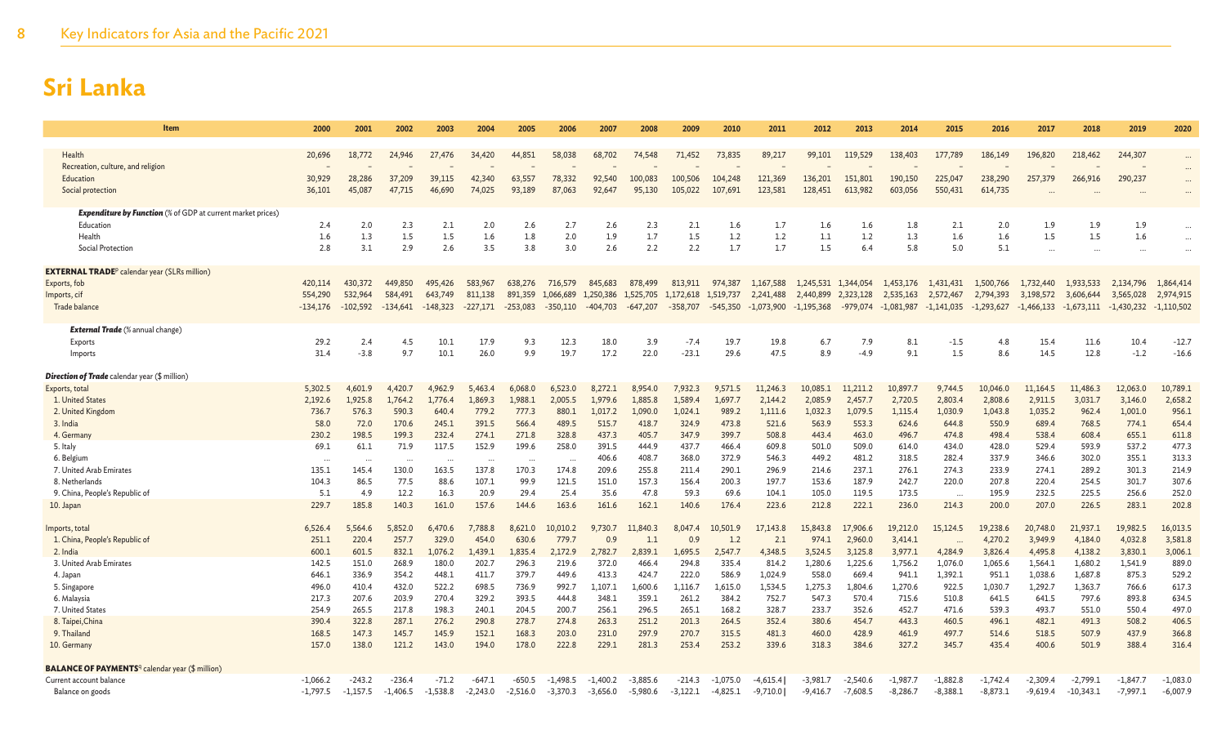| Item                                                                   | 2000           | 2001           | 2002           | 2003             | 2004             | 2005             | 2006             | 2007             | 2008             | 2009             | 2010             | 2011             | 2012               | 2013               | 2014               | 2015               | 2016               | 2017               | 2018               | 2019               | 2020                 |
|------------------------------------------------------------------------|----------------|----------------|----------------|------------------|------------------|------------------|------------------|------------------|------------------|------------------|------------------|------------------|--------------------|--------------------|--------------------|--------------------|--------------------|--------------------|--------------------|--------------------|----------------------|
|                                                                        |                |                |                |                  |                  |                  |                  |                  |                  |                  |                  |                  |                    |                    |                    |                    |                    |                    |                    |                    |                      |
| Health<br>Recreation, culture, and religion                            | 20,696         | 18,772         | 24,946         | 27,476           | 34,420           | 44,851           | 58,038           | 68,702           | 74,548           | 71,452           | 73,835           | 89,217           | 99,101             | 119,529            | 138,403            | 177,789            | 186,149            | 196,820            | 218,462            | 244,307            | $\cdots$             |
| Education                                                              | 30,929         | 28,286         | 37,209         | 39,115           | 42,340           | 63,557           | 78,332           | 92,540           | 100,083          | 100,506          | 104,248          | 121,369          | 136,201            | 151,801            | 190,150            | 225,047            | 238,290            | 257,379            | 266,916            | 290,237            | $\ddots$             |
| Social protection                                                      | 36,101         | 45,087         | 47.715         | 46,690           | 74,025           | 93,189           | 87,063           | 92,647           | 95,130           | 105,022          | 107,691          | 123,581          | 128,451            | 613,982            | 603,056            | 550,431            | 614,735            |                    |                    |                    | $\cdots$             |
|                                                                        |                |                |                |                  |                  |                  |                  |                  |                  |                  |                  |                  |                    |                    |                    |                    |                    |                    |                    |                    |                      |
| <b>Expenditure by Function</b> (% of GDP at current market prices)     |                |                |                |                  |                  |                  |                  |                  |                  |                  |                  |                  |                    |                    |                    |                    |                    |                    |                    |                    |                      |
| Education<br>Health                                                    | 2.4<br>1.6     | 2.0<br>1.3     | 2.3<br>1.5     | 2.1<br>1.5       | 2.0<br>1.6       | 2.6<br>1.8       | 2.7<br>2.0       | 2.6<br>1.9       | 2.3<br>1.7       | 2.1<br>1.5       | 1.6<br>1.2       | 1.7<br>1.2       | 1.6<br>1.1         | 1.6<br>1.2         | 1.8<br>1.3         | 2.1<br>1.6         | 2.0<br>1.6         | 1.9<br>1.5         | 1.9<br>1.5         | 1.9<br>1.6         | $\cdots$             |
| Social Protection                                                      | 2.8            | 3.1            | 2.9            | 2.6              | 3.5              | 3.8              | 3.0              | 2.6              | 2.2              | 2.2              | 1.7              | 1.7              | 1.5                | 6.4                | 5.8                | 5.0                | 5.1                |                    |                    |                    | $\cdots$<br>$\ddots$ |
|                                                                        |                |                |                |                  |                  |                  |                  |                  |                  |                  |                  |                  |                    |                    |                    |                    |                    |                    |                    |                    |                      |
| <b>EXTERNAL TRADE</b> <sup>p</sup> calendar year (SLRs million)        |                |                |                |                  |                  |                  |                  |                  |                  |                  |                  |                  |                    |                    |                    |                    |                    |                    |                    |                    |                      |
| Exports, fob                                                           | 420,114        | 430,372        | 449,850        | 495,426          | 583,967          | 638,276          | 716,579          | 845,683          | 878,499          | 813,911          | 974,387          | 1.167.588        | 1,245,531          | 1,344,054          | 1,453,176          | 1,431,431          | 1,500,766          | 1,732,440          | 1,933,533          | 2,134,796          | 1,864,414            |
| Imports, cif                                                           | 554,290        | 532,964        | 584.491        | 643,749          | 811,138          | 891,359          | 1,066,689        | 1,250,386        | 1,525,705        | 1,172,618        | 1,519,737        | 2,241,488        | 2,440,899          | 2,323,128          | 2,535,163          | 2,572,467          | 2,794,393          | 3,198,572          | 3,606,644          | 3,565,028          | 2,974,915            |
| Trade balance                                                          | $-134,176$     | $-102,592$     | $-134,641$     | $-148,323$       | $-227,171$       | $-253,083$       | $-350,110$       | $-404,703$       | $-647,207$       | -358,707         | $-545,350$       | $-1,073,900$     | $-1,195,368$       | $-979,074$         | $-1,081,987$       | $-1,141,035$       | $-1,293,627$       | $-1,466,133$       | $-1,673,111$       | $-1,430,232$       | $-1,110,502$         |
| <b>External Trade</b> (% annual change)                                |                |                |                |                  |                  |                  |                  |                  |                  |                  |                  |                  |                    |                    |                    |                    |                    |                    |                    |                    |                      |
| Exports                                                                | 29.2           | 2.4            | 4.5            | 10.1             | 17.9             | 9.3              | 12.3             | 18.0             | 3.9              | $-7.4$           | 19.7             | 19.8             | 6.7                | 7.9                | 8.1                | $-1.5$             | 4.8                | 15.4               | 11.6               | 10.4               | $-12.7$              |
| Imports                                                                | 31.4           | $-3.8$         | 9.7            | 10.1             | 26.0             | 9.9              | 19.7             | 17.2             | 22.0             | $-23.1$          | 29.6             | 47.5             | 8.9                | $-4.9$             | 9.1                | 1.5                | 8.6                | 14.5               | 12.8               | $-1.2$             | $-16.6$              |
|                                                                        |                |                |                |                  |                  |                  |                  |                  |                  |                  |                  |                  |                    |                    |                    |                    |                    |                    |                    |                    |                      |
| <b>Direction of Trade</b> calendar year (\$ million)<br>Exports, total | 5,302.5        | 4.601.9        | 4.420.7        | 4,962.9          | 5.463.4          | 6.068.0          | 6.523.0          |                  | 8.954.0          | 7.932.3          | 9,571.5          | 11.246.3         | 10.085.1           | 11,211.2           | 10.897.7           | 9,744.5            | 10.046.0           | 11.164.5           | 11.486.3           | 12,063.0           | 10,789.1             |
| 1. United States                                                       | 2,192.6        | 1,925.8        | 1.764.2        | 1,776.4          | 1,869.3          | 1.988.1          | 2,005.5          | 1.979.6          | 1,885.8          | 1,589.4          | 1,697.7          | 2,144.2          | 2,085.9            | 2,457.7            | 2,720.5            | 2,803.4            | 2,808.6            | 2,911.5            | 3,031.7            | 3,146.0            | 2,658.2              |
| 2. United Kingdom                                                      | 736.7          | 576.3          | 590.3          | 640.4            | 779.2            | 777.3            | 880.1            | 1,017.2          | 1.090.0          | 1,024.1          | 989.2            | 1,111.6          | 1,032.3            | 1,079.5            | 1,115.4            | 1,030.9            | 1,043.8            | 1,035.2            | 962.4              | 1,001.0            | 956.1                |
| 3. India                                                               | 58.0           | 72.0           | 170.6          | 245.1            | 391.5            | 566.4            | 489.5            | 515.7            | 418.7            | 324.9            | 473.8            | 521.6            | 563.9              | 553.3              | 624.6              | 644.8              | 550.9              | 689.4              | 768.5              | 774.1              | 654.4                |
| 4. Germany                                                             | 230.2          | 198.5          | 199.3          | 232.4            | 274.1            | 271.8            | 328.8            | 437.3            | 405.7            | 347.9            | 399.7            | 508.8            | 443.4              | 463.0              | 496.7              | 474.8              | 498.4              | 538.4              | 608.4              | 655.1              | 611.8                |
| 5. Italy                                                               | 69.1           | 61.1           | 71.9           | 117.5            | 152.9            | 199.6            | 258.0            | 391.5            | 444.9            | 437.7            | 466.4            | 609.8            | 501.0              | 509.0              | 614.0              | 434.0              | 428.0              | 529.4              | 593.9              | 537.2              | 477.3                |
| 6. Belgium                                                             |                | $\ddotsc$      | .              | $\cdots$         | .                | $\cdots$         | $\ddots$         | 406.6            | 408.7            | 368.0            | 372.9            | 546.3            | 449.2              | 481.2              | 318.5              | 282.4              | 337.9              | 346.6              | 302.0              | 355.1              | 313.3                |
| 7. United Arab Emirates<br>8. Netherlands                              | 135.1<br>104.3 | 145.4<br>86.5  | 130.0<br>77.5  | 163.5<br>88.6    | 137.8<br>107.1   | 170.3<br>99.9    | 174.8<br>121.5   | 209.6<br>151.0   | 255.8<br>157.3   | 211.4<br>156.4   | 290.1<br>200.3   | 296.9<br>197.7   | 214.6<br>153.6     | 237.1<br>187.9     | 276.1<br>242.7     | 274.3<br>220.0     | 233.9<br>207.8     | 274.1<br>220.4     | 289.2<br>254.5     | 301.3<br>301.7     | 214.9<br>307.6       |
| 9. China, People's Republic of                                         | 5.1            | 4.9            | 12.2           | 16.3             | 20.9             | 29.4             | 25.4             | 35.6             | 47.8             | 59.3             | 69.6             | 104.1            | 105.0              | 119.5              | 173.5              | $\cdots$           | 195.9              | 232.5              | 225.5              | 256.6              | 252.0                |
| 10. Japan                                                              | 229.7          | 185.8          | 140.3          | 161.0            | 157.6            | 144.6            | 163.6            | 161.6            | 162.1            | 140.6            | 176.4            | 223.6            | 212.8              | 222.1              | 236.0              | 214.3              | 200.0              | 207.0              | 226.5              | 283.1              | 202.8                |
|                                                                        |                |                |                |                  |                  |                  |                  |                  |                  |                  |                  |                  |                    |                    |                    |                    |                    |                    |                    |                    |                      |
| Imports, total                                                         | 6,526.4        | 5,564.6        | 5,852.0        | 6,470.6          | 7,788.8          | .621.0           | 10,010.2         | 9,730.7          | .840.3<br>11     | 8,047.4          | 10,501.9         | 17.143.8         | ,843.8             | 17,906.6           | 19,212.0           | 15.124.5           | 19.238.6           | 20,748.0           | 21,937.1           | 19,982.5           | 16,013.5             |
| 1. China, People's Republic of                                         | 251.1          | 220.4          | 257.7          | 329.0            | 454.0            | 630.6            | 779.7            | 0.9              | 1.1              | 0.9              | 1.2              | 2.1              | 974.1              | 2,960.0            | 3,414.1            |                    | 4,270.2            | 3,949.9            | 4,184.0            | 4,032.8            | 3,581.8              |
| 2. India<br>3. United Arab Emirates                                    | 600.1<br>142.5 | 601.5<br>151.0 | 832.1<br>268.9 | 1,076.2<br>180.0 | 1,439.1<br>202.7 | 1,835.4<br>296.3 | 2,172.9<br>219.6 | 2,782.7<br>372.0 | 2,839.1<br>466.4 | 1,695.5<br>294.8 | 2,547.7<br>335.4 | 4,348.5<br>814.2 | 3,524.5<br>1,280.6 | 3,125.8<br>1.225.6 | 3,977.1<br>1,756.2 | 4,284.9<br>1,076.0 | 3,826.4<br>1,065.6 | 4,495.8<br>1,564.1 | 4,138.2<br>1,680.2 | 3,830.1<br>1,541.9 | 3,006.1<br>889.0     |
| 4. Japan                                                               | 646.1          | 336.9          | 354.2          | 448.1            | 411.7            | 379.7            | 449.6            | 413.3            | 424.7            | 222.0            | 586.9            | 1,024.9          | 558.0              | 669.4              | 941.1              | 1,392.1            | 951.1              | 1,038.6            | 1,687.8            | 875.3              | 529.2                |
| 5. Singapore                                                           | 496.0          | 410.4          | 432.0          | 522.2            | 698.5            | 736.9            | 992.7            | 1,107.1          | 1.600.6          | 1.116.7          | 1,615.0          | 1,534.5          | 1,275.3            | 1.804.6            | 1.270.6            | 922.5              | 1.030.7            | 1.292.7            | 1,363.7            | 766.6              | 617.3                |
| 6. Malaysia                                                            | 217.3          | 207.6          | 203.9          | 270.4            | 329.2            | 393.5            | 444.8            | 348.1            | 359.1            | 261.2            | 384.2            | 752.7            | 547.3              | 570.4              | 715.6              | 510.8              | 641.5              | 641.5              | 797.6              | 893.8              | 634.5                |
| 7. United States                                                       | 254.9          | 265.5          | 217.8          | 198.3            | 240.1            | 204.5            | 200.7            | 256.1            | 296.5            | 265.1            | 168.2            | 328.7            | 233.7              | 352.6              | 452.7              | 471.6              | 539.3              | 493.7              | 551.0              | 550.4              | 497.0                |
| 8. Taipei, China                                                       | 390.4          | 322.8          | 287.1          | 276.2            | 290.8            | 278.7            | 274.8            | 263.3            | 251.2            | 201.3            | 264.5            | 352.4            | 380.6              | 454.7              | 443.3              | 460.5              | 496.1              | 482.1              | 491.3              | 508.2              | 406.5                |
| 9. Thailand                                                            | 168.5          | 147.3          | 145.7          | 145.9            | 152.1            | 168.3            | 203.0            | 231.0            | 297.9            | 270.7            | 315.5            | 481.3            | 460.0              | 428.9              | 461.9              | 497.7              | 514.6              | 518.5              | 507.9              | 437.9              | 366.8                |
| 10. Germany                                                            | 157.0          | 138.0          | 121.2          | 143.0            | 194.0            | 178.0            | 222.8            | 229.1            | 281.3            | 253.4            | 253.2            | 339.6            | 318.3              | 384.6              | 327.2              | 345.7              | 435.4              | 400.6              | 501.9              | 388.4              | 316.4                |
| <b>BALANCE OF PAYMENTS</b> <sup>q</sup> calendar year (\$ million)     |                |                |                |                  |                  |                  |                  |                  |                  |                  |                  |                  |                    |                    |                    |                    |                    |                    |                    |                    |                      |
| Current account balance                                                | $-1.066.2$     | $-243.2$       | $-236.4$       | $-71.2$          | $-647.1$         | $-650.5$         | $-1.498.5$       | $-1.400.2$       | $-3.885.6$       | $-214.3$         | $-1.075.0$       | -4.615.4         | $-3.981.7$         | $-2,540.6$         | $-1.987.7$         | $-1,882.8$         | $-1.742.4$         | $-2,309.4$         | $-2,799.1$         | $-1,847.7$         | $-1,083.0$           |
| Balance on goods                                                       | $-1.797.5$     | $-1,157.5$     | $-1,406.5$     | $-1.538.8$       | $-2,243.0$       | $-2,516.0$       | $-3.370.3$       | $-3,656.0$       | $-5,980.6$       | $-3,122.1$       | $-4,825.1$       | $-9,710.0$       | $-9,416.7$         | $-7.608.5$         | $-8,286.7$         | $-8,388.1$         | $-8,873.1$         | $-9,619.4$         | $-10,343.1$        | $-7,997.1$         | $-6,007.9$           |
|                                                                        |                |                |                |                  |                  |                  |                  |                  |                  |                  |                  |                  |                    |                    |                    |                    |                    |                    |                    |                    |                      |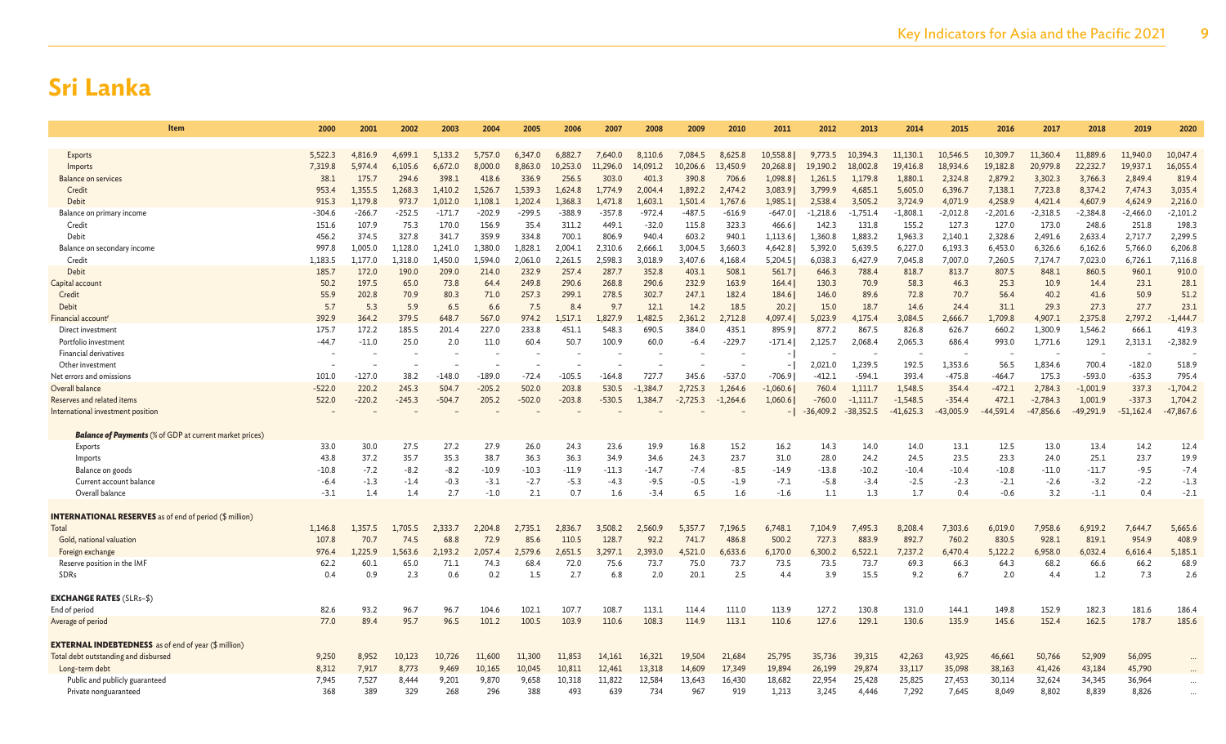| Item                                                           | 2000              | 2001               | 2002             | 2003                | 2004                | 2005                | 2006                | 2007                | 2008                | 2009                | 2010               | 2011                | 2012                  | 2013                  | 2014                  | 2015                  | 2016               | 2017                  | 2018                  | 2019                  | 2020               |
|----------------------------------------------------------------|-------------------|--------------------|------------------|---------------------|---------------------|---------------------|---------------------|---------------------|---------------------|---------------------|--------------------|---------------------|-----------------------|-----------------------|-----------------------|-----------------------|--------------------|-----------------------|-----------------------|-----------------------|--------------------|
|                                                                |                   |                    |                  |                     |                     |                     |                     |                     |                     |                     |                    |                     |                       |                       |                       |                       |                    |                       |                       |                       |                    |
| Exports                                                        | 5.522.3           | 4,816.9            | 4.699.           | 5.133.2             | 5.757.0             | 6,347.0             | 6,882.7             | 7.640.0             | 8,110.6             | 7.084.5             | 8.625.8            | 10,558.8            | 9.773.5               | 10.394.3              | 11.130.1              | 10.546.5              | 10,309.7           | 11,360.4              | 11,889.6              | 11,940.0              | 10,047.4           |
| Imports                                                        | 7,319.8           | 5.974.4            | 6.105.6          | 6,672.0             | 8,000.0             | 8.863.0             | 10,253.0            | 11,296.0            | 14,091.2            | 10,206.6            | 13,450.9           | 20,268.8            | 19,190.2              | 18,002.8              | 19,416.8              | 18,934.6              | 19,182.8           | 20,979.8              | 22,232.7              | 19,937.1              | 16,055.4           |
| <b>Balance on services</b>                                     | 38.1              | 175.7              | 294.6            | 398.1               | 418.6               | 336.9               | 256.5               | 303.0               | 401.3               | 390.8               | 706.6              | 1,098.8             | 1,261.5               | 1,179.8               | 1,880.1               | 2,324.8               | 2,879.2            | 3,302.3               | 3,766.3               | 2,849.4               | 819.4              |
| Credit<br><b>Debit</b>                                         | 953.4<br>915.3    | 1,355.5<br>1,179.8 | 1,268.3<br>973.7 | 1,410.2             | 1,526.7             | 1,539.3             | 1,624.8             | 1,774.9             | 2,004.4             | 1,892.2             | 2,474.2<br>1,767.6 | 3,083.9             | 3,799.9               | 4,685.1               | 5,605.0               | 6,396.7               | 7,138.1<br>4,258.9 | 7,723.8               | 8,374.2               | 7,474.3               | 3,035.4<br>2,216.0 |
| Balance on primary income                                      | -304.6            | $-266.7$           | $-252.5$         | 1,012.0<br>$-171.7$ | 1,108.1<br>$-202.9$ | 1,202.4<br>$-299.5$ | 1,368.3<br>$-388.9$ | 1,471.8<br>$-357.8$ | 1,603.1<br>$-972.4$ | 1,501.4<br>$-487.5$ | $-616.9$           | 1,985.1<br>$-647.0$ | 2,538.4<br>$-1,218.6$ | 3,505.2<br>$-1,751.4$ | 3,724.9<br>$-1,808.1$ | 4,071.9<br>$-2,012.8$ | $-2,201.6$         | 4,421.4<br>$-2,318.5$ | 4,607.9<br>$-2,384.8$ | 4,624.9<br>$-2,466.0$ | $-2,101.2$         |
| Credit                                                         | 151.6             | 107.9              | 75.3             | 170.0               | 156.9               | 35.4                | 311.2               | 449.1               | $-32.0$             | 115.8               | 323.3              | 466.6               | 142.3                 | 131.8                 | 155.2                 | 127.3                 | 127.0              | 173.0                 | 248.6                 | 251.8                 | 198.3              |
| Debit                                                          | 456.2             | 374.5              | 327.8            | 341.7               | 359.9               | 334.8               | 700.1               | 806.9               | 940.4               | 603.2               | 940.1              | 1,113.6             | 1,360.8               | 1,883.2               | 1,963.3               | 2,140.1               | 2,328.6            | 2,491.6               | 2,633.4               | 2,717.7               | 2,299.5            |
| Balance on secondary income                                    | 997.8             | 1,005.0            | 1,128.0          | 1,241.0             | 1,380.0             | 1,828.1             | 2,004.1             | 2,310.6             | 2,666.1             | 3,004.5             | 3,660.3            | 4,642.8             | 5,392.0               | 5,639.5               | 6,227.0               | 6,193.3               | 6,453.0            | 6,326.6               | 6,162.6               | 5,766.0               | 6,206.8            |
| Credit                                                         | 1,183.5           | 1,177.0            | 1,318.0          | 1,450.0             | 1,594.0             | 2,061.0             | 2.261.5             | 2,598.3             | 3,018.9             | 3,407.6             | 4,168.4            | 5,204.5             | 6,038.3               | 6,427.9               | 7,045.8               | 7,007.0               | 7,260.5            | 7,174.7               | 7,023.0               | 6,726.1               | 7,116.8            |
| Debit                                                          | 185.7             | 172.0              | 190.0            | 209.0               | 214.0               | 232.9               | 257.4               | 287.7               | 352.8               | 403.1               | 508.1              | 561.7               | 646.3                 | 788.4                 | 818.7                 | 813.7                 | 807.5              | 848.1                 | 860.5                 | 960.1                 | 910.0              |
| Capital account                                                | 50.2              | 197.5              | 65.0             | 73.8                | 64.4                | 249.8               | 290.6               | 268.8               | 290.6               | 232.9               | 163.9              | 164.4               | 130.3                 | 70.9                  | 58.3                  | 46.3                  | 25.3               | 10.9                  | 14.4                  | 23.1                  | 28.1               |
| Credit                                                         | 55.9              | 202.8              | 70.9             | 80.3                | 71.0                | 257.3               | 299.1               | 278.5               | 302.7               | 247.1               | 182.4              | 184.6               | 146.0                 | 89.6                  | 72.8                  | 70.7                  | 56.4               | 40.2                  | 41.6                  | 50.9                  | 51.2               |
| Debit                                                          | 5.7               | 5.3                | 5.9              | 6.5                 | 6.6                 | 7.5                 | 8.4                 | 9.7                 | 12.1                | 14.2                | 18.5               | 20.2                | 15.0                  | 18.7                  | 14.6                  | 24.4                  | 31.1               | 29.3                  | 27.3                  | 27.7                  | 23.1               |
| Financial account                                              | 392.9             | 364.2              | 379.5            | 648.7               | 567.0               | 974.2               | 1.517.1             | 1.827.9             | ,482.5              | 2,361.2             | 2,712.8            | 4,097.4             | 5,023.9               | 4.175.4               | 3,084.5               | 2,666.7               | 1,709.8            | 4,907.1               | 2,375.8               | 2,797.2               | $-1,444.7$         |
| Direct investment                                              | 175.7             | 172.2              | 185.5            | 201.4               | 227.0               | 233.8               | 451.1               | 548.3               | 690.5               | 384.0               | 435.1              | 895.9               | 877.2                 | 867.5                 | 826.8                 | 626.7                 | 660.2              | 1,300.9               | 1,546.2               | 666.1                 | 419.3              |
| Portfolio investmen<br>Financial derivatives                   | $-44.7$           | $-11.0$            | 25.0             | 2.0                 | 11.0                | 60.4                | 50.7                | 100.9               | 60.0                | $-6.4$              | $-229.7$           | $-171.4$            | 2,125.7               | 2,068.4               | 2,065.3               | 686.4                 | 993.0              | 1,771.6               | 129.1                 | 2,313.1               | $-2,382.9$         |
| Other investment                                               |                   |                    |                  |                     |                     |                     |                     |                     |                     |                     |                    |                     | 2,021.0               | 1,239.5               | 192.5                 | 1,353.6               | 56.5               | 1,834.6               | 700.4                 | $-182.0$              | 518.9              |
| Net errors and omissions                                       | 101.0             | $-127.0$           | 38.2             | $-148.0$            | $-189.0$            | $-72.4$             | $-105.5$            | $-164.8$            | 727.7               | 345.6               | $-537.0$           | $-706.9$            | -412.1                | $-594.1$              | 393.4                 | $-475.8$              | $-464.7$           | 175.3                 | $-593.0$              | $-635.3$              | 795.4              |
| Overall balance                                                | $-522.0$          | 220.2              | 245.3            | 504.7               | $-205.2$            | 502.0               | 203.8               | 530.5               | $-1.384.7$          | 2,725.3             | 1,264.6            | $-1,060.6$          | 760.4                 | 1,111.7               | 1,548.5               | 354.4                 | $-472.1$           | 2,784.3               | $-1,001.9$            | 337.3                 | $-1,704.2$         |
| Reserves and related items                                     | 522.0             | $-220.2$           | $-245.3$         | $-504.7$            | 205.2               | $-502.0$            | $-203.8$            | $-530.5$            | 1.384.7             | $-2,725.3$          | $-1,264.6$         | 1,060.6             | $-760.0$              | $-1,111.7$            | $-1,548.5$            | $-354.4$              | 472.1              | $-2,784.3$            | 1,001.9               | $-337.3$              | 1,704.2            |
| International investment position                              |                   |                    |                  |                     |                     |                     |                     |                     |                     |                     |                    |                     | $-36,409.2$           | $-38,352.5$           | $-41,625.3$           | $-43,005.9$           | $-44.591.4$        | $-47,856.6$           | $-49,291.9$           | $-51,162.4$           | $-47,867.6$        |
|                                                                |                   |                    |                  |                     |                     |                     |                     |                     |                     |                     |                    |                     |                       |                       |                       |                       |                    |                       |                       |                       |                    |
| <b>Balance of Payments</b> (% of GDP at current market prices) |                   |                    |                  |                     |                     |                     |                     |                     |                     |                     |                    |                     |                       |                       |                       |                       |                    |                       |                       |                       |                    |
| Exports                                                        | 33.0              | 30.0               | 27.5             | 27.2                | 27.9                | 26.0                | 24.3                | 23.6                | 19.9                | 16.8                | 15.2               | 16.2                | 14.3                  | 14.0                  | 14.0                  | 13.1                  | 12.5               | 13.0                  | 13.4                  | 14.2                  | 12.4               |
| Imports                                                        | 43.8              | 37.2               | 35.7             | 35.3                | 38.7                | 36.3                | 36.3                | 34.9                | 34.6                | 24.3                | 23.7               | 31.0                | 28.0                  | 24.2                  | 24.5                  | 23.5                  | 23.3               | 24.0                  | 25.1                  | 23.7                  | 19.9               |
| Balance on goods<br>Current account balance                    | $-10.8$<br>$-6.4$ | $-7.2$<br>$-1.3$   | $-8.2$<br>$-1.4$ | $-8.2$<br>$-0.3$    | $-10.9$<br>$-3.1$   | $-10.3$<br>$-2.7$   | $-11.9$<br>$-5.3$   | $-11.3$<br>$-4.3$   | $-14.7$<br>$-9.5$   | $-7.4$<br>$-0.5$    | $-8.5$<br>$-1.9$   | $-14.9$<br>$-7.1$   | $-13.8$<br>$-5.8$     | $-10.2$<br>$-3.4$     | $-10.4$<br>$-2.5$     | $-10.4$<br>$-2.3$     | $-10.8$<br>$-2.1$  | $-11.0$<br>$-2.6$     | $-11.7$<br>$-3.2$     | $-9.5$<br>$-2.2$      | $-7.4$<br>$-1.3$   |
| Overall balance                                                | $-3.1$            | 1.4                | 1.4              | 2.7                 | $-1.0$              | 2.1                 | 0.7                 | 1.6                 | $-3.4$              | 6.5                 | 1.6                | $-1.6$              | 1.1                   | 1.3                   | 1.7                   | 0.4                   | $-0.6$             | 3.2                   | $-1.1$                | 0.4                   | $-2.1$             |
|                                                                |                   |                    |                  |                     |                     |                     |                     |                     |                     |                     |                    |                     |                       |                       |                       |                       |                    |                       |                       |                       |                    |
| <b>INTERNATIONAL RESERVES</b> as of end of period (\$ million) |                   |                    |                  |                     |                     |                     |                     |                     |                     |                     |                    |                     |                       |                       |                       |                       |                    |                       |                       |                       |                    |
| Total                                                          | 1,146.8           | 1,357.5            | .,705.5          | 2.333.7             | 2,204.8             | 2,735.1             | 2,836.7             | 3,508.2             | 2.560.9             | 5,357.7             | 7,196.5            | 6,748.1             | 7,104.9               | 495.3                 | 8,208.4               | 7,303.6               | 6,019.0            | 7,958.6               | 6,919.2               | 7,644.7               | 5,665.6            |
| Gold, national valuation                                       | 107.8             | 70.7               | 74.5             | 68.8                | 72.9                | 85.6                | 110.5               | 128.7               | 92.2                | 741.7               | 486.8              | 500.2               | 727.3                 | 883.9                 | 892.7                 | 760.2                 | 830.5              | 928.1                 | 819.1                 | 954.9                 | 408.9              |
| Foreign exchange                                               | 976.4             | 1.225.9            | .563.6           | 2.193.2             | 2.057.4             | 2.579.6             | 2.651.5             | 3.297.1             | 2.393.0             | 4.521.0             | 6,633.6            | 6.170.0             | 6,300.2               | 6,522.1               | 7,237.2               | 6,470.4               | 5,122.2            | 6.958.0               | 6,032.4               | 6,616.4               | 5,185.1            |
| Reserve position in the IMF                                    | 62.2              | 60.1               | 65.0             | 71.1                | 74.3                | 68.4                | 72.0                | 75.6                | 73.7                | 75.0                | 73.7               | 73.5                | 73.5                  | 73.7                  | 69.3                  | 66.3                  | 64.3               | 68.2                  | 66.6                  | 66.2                  | 68.9               |
| SDRs                                                           | 0.4               | 0.9                | 2.3              | 0.6                 | 0.2                 | 1.5                 | 2.7                 | 6.8                 | 2.0                 | 20.1                | 2.5                | 4.4                 | 3.9                   | 15.5                  | 9.2                   | 6.7                   | 2.0                | 4.4                   | 1.2                   | 7.3                   | 2.6                |
| <b>EXCHANGE RATES (SLRs-\$)</b>                                |                   |                    |                  |                     |                     |                     |                     |                     |                     |                     |                    |                     |                       |                       |                       |                       |                    |                       |                       |                       |                    |
| End of period                                                  | 82.6              | 93.2               | 96.7             | 96.7                | 104.6               | 102.1               | 107.7               | 108.7               | 113.1               | 114.4               | 111.0              | 113.9               | 127.2                 | 130.8                 | 131.0                 | 144.1                 | 149.8              | 152.9                 | 182.3                 | 181.6                 | 186.4              |
| Average of period                                              | 77.0              | 89.4               | 95.7             | 96.5                | 101.2               | 100.5               | 103.9               | 110.6               | 108.3               | 114.9               | 113.1              | 110.6               | 127.6                 | 129.1                 | 130.6                 | 135.9                 | 145.6              | 152.4                 | 162.5                 | 178.7                 | 185.6              |
|                                                                |                   |                    |                  |                     |                     |                     |                     |                     |                     |                     |                    |                     |                       |                       |                       |                       |                    |                       |                       |                       |                    |
| <b>EXTERNAL INDEBTEDNESS</b> as of end of year (\$ million)    |                   |                    |                  |                     |                     |                     |                     |                     |                     |                     |                    |                     |                       |                       |                       |                       |                    |                       |                       |                       |                    |
| Total debt outstanding and disbursed                           | 9,250             | 8,952              | 10,123           | 10,726              | 11,600              | 11,300              | 11,853              | 14,161              | 16,321              | 19,504              | 21,684             | 25,795              | 35,736                | 39,315                | 42,263                | 43,925                | 46,661             | 50,766                | 52,909                | 56,095                |                    |
| Long-term debt                                                 | 8,312             | 7,917              | 8,773            | 9,469               | 10,165              | 10,045              | 10,811              | 12,461              | 13,318              | 14,609              | 17,349             | 19,894              | 26,199                | 29,874                | 33,117                | 35,098                | 38,163             | 41,426                | 43,184                | 45,790                |                    |
| Public and publicly guaranteed                                 | 7,945             | 7,527              | 8,444            | 9,201               | 9,870               | 9,658               | 10,318              | 11,822              | 12,584              | 13,643              | 16,430             | 18,682              | 22,954                | 25,428                | 25,825                | 27,453                | 30,114             | 32,624                | 34,345                | 36,964                |                    |
| Private nonguaranteed                                          | 368               | 389                | 329              | 268                 | 296                 | 388                 | 493                 | 639                 | 734                 | 967                 | 919                | 1,213               | 3,245                 | 4.446                 | 7,292                 | 7.645                 | 8,049              | 8,802                 | 8,839                 | 8,826                 |                    |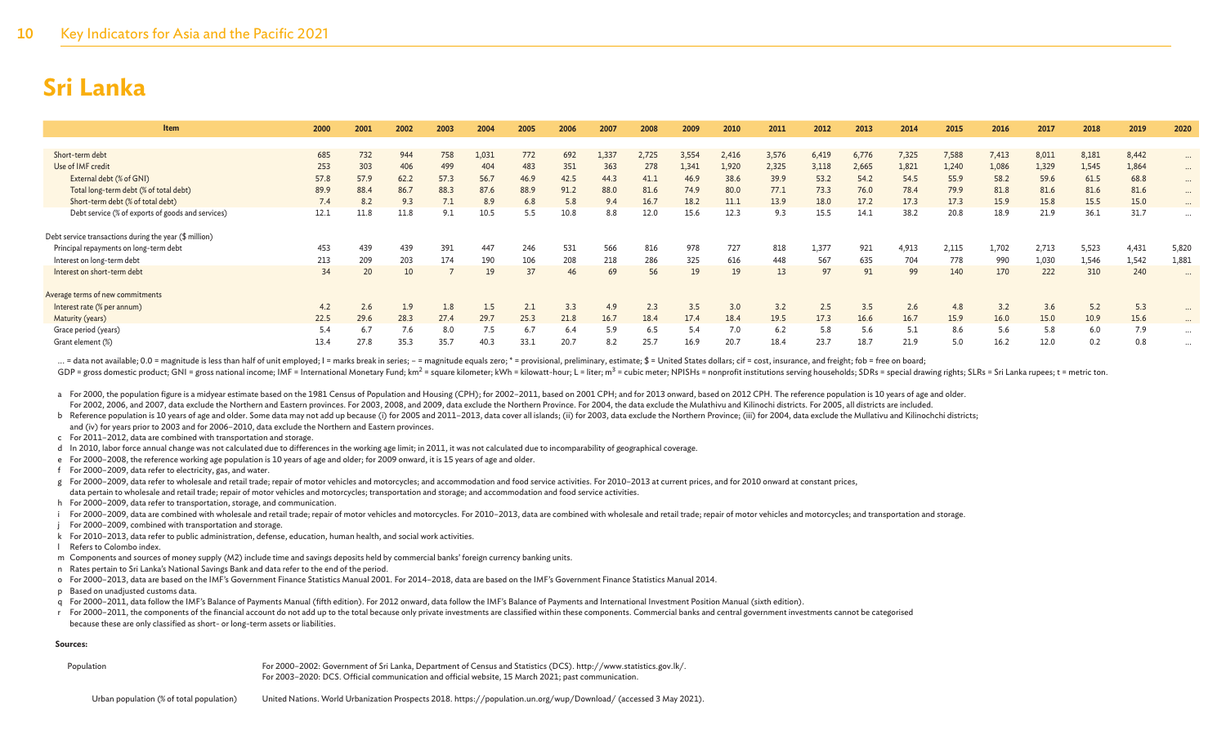| <b>Item</b>                                                                                      | 2000 | 2001 | 2002 | 2003 | 2004  | 2005 | 2006 | 2007  | 2008  | 2009  | 2010  | 2011  | 2012  | 2013  | 2014  | 2015  | 2016  | 2017  | 2018  | 2019  | 2020     |
|--------------------------------------------------------------------------------------------------|------|------|------|------|-------|------|------|-------|-------|-------|-------|-------|-------|-------|-------|-------|-------|-------|-------|-------|----------|
|                                                                                                  |      |      |      |      |       |      |      |       |       |       |       |       |       |       |       |       |       |       |       |       |          |
| Short-term debt                                                                                  | 685  | 732  | 944  | 758  | 1,031 | 772  | 692  | 1,337 | 2,725 | 3,554 | 2,416 | 3,576 | 6,419 | 6,776 | 7,325 | 7,588 | 7,413 | 8,011 | 8,181 | 8,442 | $\cdots$ |
| Use of IMF credit                                                                                | 253  | 303  | 406  | 499  | 404   | 483  | 351  | 363   | 278   | 1,341 | 1,920 | 2,325 | 3,118 | 2,665 | 1,821 | 1,240 | 1,086 | 1,329 | 1,545 | 1,864 | $\cdots$ |
| External debt (% of GNI)                                                                         | 57.8 | 57.9 | 62.2 | 57.3 | 56.7  | 46.9 | 42.5 | 44.3  | 41.1  | 46.9  | 38.6  | 39.9  | 53.2  | 54.2  | 54.5  | 55.9  | 58.2  | 59.6  | 61.5  | 68.8  | $\cdots$ |
| Total long-term debt (% of total debt)                                                           | 89.9 | 88.4 | 86.7 | 88.3 | 87.6  | 88.9 | 91.2 | 88.0  | 81.6  | 74.9  | 80.0  | 77.1  | 73.3  | 76.0  | 78.4  | 79.9  | 81.8  | 81.6  | 81.6  | 81.6  | $\cdots$ |
| Short-term debt (% of total debt)                                                                | 7.4  |      | 9.3  | 7.1  | 8.9   | 6.8  | 5.8  | 9.4   | 16.7  | 18.2  | 11.1  | 13.9  | 18.0  | 17.2  | 17.3  | 17.3  | 15.9  | 15.8  | 15.5  | 15.0  | $\cdots$ |
| Debt service (% of exports of goods and services)                                                | 12.1 | 11.8 | 11.8 | 9.1  | 10.5  | 5.5  | 10.8 | 8.8   | 12.0  | 15.6  | 12.3  | 9.3   | 15.5  | 14.1  | 38.2  | 20.8  | 18.9  | 21.9  | 36.1  | 31.7  | $\cdots$ |
| Debt service transactions during the year (\$ million)<br>Principal repayments on long-term debt | 453  | 439  | 439  | 391  | 447   | 246  | 531  | 566   | 816   | 978   | 727   | 818   | 1,377 | 921   | 4,913 | 2,115 | 1,702 | 2,713 | 5,523 | 4,431 | 5,820    |
| Interest on long-term debt                                                                       | 213  | 209  | 203  | 174  | 190   | 106  | 208  | 218   | 286   | 325   | 616   | 448   | 567   | 635   | 704   | 778   | 990   | 1,030 | 1,546 | 1,542 | 1,881    |
| Interest on short-term debt                                                                      | 34   | 20   | 10   |      | 19    | 37   | 46   | 69    | 56    | 19    | 19    | 13    | 97    | 91    | 99    | 140   | 170   | 222   | 310   | 240   |          |
| Average terms of new commitments                                                                 |      |      |      |      |       |      |      |       |       |       |       |       |       |       |       |       |       |       |       |       |          |
| Interest rate (% per annum)                                                                      | 4.2  | 2.6  | 1.9  | 1.8  | 1.5   | 2.1  | 3.3  | 4.9   | 2.3   | 3.5   | 3.0   | 3.2   | 2.5   | 3.5   | 2.6   | 4.8   | 3.2   | 3.6   | 5.2   | 5.3   | $\cdots$ |
| Maturity (years)                                                                                 | 22.5 | 29.6 | 28.3 | 27.4 | 29.7  | 25.3 | 21.8 | 16.7  | 18.4  | 17.4  | 18.4  | 19.5  | 17.3  | 16.6  | 16.7  | 15.9  | 16.0  | 15.0  | 10.9  | 15.6  | $\cdots$ |
| Grace period (years)                                                                             | 5.4  |      | 7.6  | 8.0  | 7.5   | 6.7  | 6.4  | 5.9   | 6.5   | 5.4   |       | 6.2   | 5.8   | 5.6   | 5.1   | 8.6   | 5.6   | 5.8   | 6.0   | 7.9   | $\cdots$ |
| Grant element (%)                                                                                | 13.4 | 27.8 | 35.3 | 35.7 | 40.3  | 33.1 | 20.7 | 8.2   | 25.7  | 16.9  | 20.7  | 18.4  | 23.7  | 18.7  | 21.9  | 5.0   | 16.2  | 12.0  | 0.2   | 0.8   | $\cdots$ |

... = data not available; 0.0 = magnitude is less than half of unit employed; I = marks break in series; - = magnitude equals zero; \* = provisional, preliminary, estimate; \$ = United States dollars; cif = cost, insurance,

GDP = gross domestic product; GNI = gross national income; IMF = International Monetary Fund; km<sup>2</sup> = square kilometer; kWh = kilowatt-hour; L = liter; m<sup>3</sup> = cubic meter; NPISHs = nonprofit institutions serving households

a For 2000, the population figure is a midyear estimate based on the 1981 Census of Population and Housing (CPH); for 2002-2011, based on 2001 CPH; and for 2013 onward, based on 2012 CPH. The reference population is 10 yea For 2002, 2006, and 2007, data exclude the Northern and Eastern provinces. For 2003, 2008, and 2009, data exclude the Northern Province. For 2004, the data exclude the Mulathivu and Kilinochi districts. For 2005, all distr

b Reference population is 10 years of age and older. Some data may not add up because (i) for 2005 and 2011-2013, data cover all islands; (ii) for 2003, data exclude the Northern Province; (iii) for 2004, data exclude the and (iv) for years prior to 2003 and for 2006–2010, data exclude the Northern and Eastern provinces.

c For 2011–2012, data are combined with transportation and storage.

d In 2010, labor force annual change was not calculated due to differences in the working age limit; in 2011, it was not calculated due to incomparability of geographical coverage.

- e For 2000–2008, the reference working age population is 10 years of age and older; for 2009 onward, it is 15 years of age and older.
- f For 2000–2009, data refer to electricity, gas, and water.

g For 2000–2009, data refer to wholesale and retail trade; repair of motor vehicles and motorcycles; and accommodation and food service activities. For 2010–2013 at current prices, and for 2010 onward at constant prices, data pertain to wholesale and retail trade; repair of motor vehicles and motorcycles; transportation and storage; and accommodation and food service activities.

h For 2000–2009, data refer to transportation, storage, and communication.

i For 2000-2009, data are combined with wholesale and retail trade; repair of motor vehicles and motorcycles. For 2010-2013, data are combined with wholesale and retail trade; repair of motorcycles; and transportation and

- For 2000–2009, combined with transportation and storage.
- k For 2010–2013, data refer to public administration, defense, education, human health, and social work activities.
- l Refers to Colombo index.
- m Components and sources of money supply (M2) include time and savings deposits held by commercial banks' foreign currency banking units.
- n Rates pertain to Sri Lanka's National Savings Bank and data refer to the end of the period.
- o For 2000–2013, data are based on the IMF's Government Finance Statistics Manual 2001. For 2014–2018, data are based on the IMF's Government Finance Statistics Manual 2014.
- p Based on unadjusted customs data.
- q For 2000–2011, data follow the IMF's Balance of Payments Manual (fifth edition). For 2012 onward, data follow the IMF's Balance of Payments and International Investment Position Manual (sixth edition).
- r For 2000-2011, the components of the financial account do not add up to the total because only private investments are classified within these components. Commercial banks and central government investments cannot be cat because these are only classified as short- or long-term assets or liabilities.

#### **Sources:**

Population For 2000–2002: Government of Sri Lanka, Department of Census and Statistics (DCS). http://www.statistics.gov.lk/. For 2003–2020: DCS. Official communication and official website, 15 March 2021; past communication.

Urban population (% of total population) United Nations. World Urbanization Prospects 2018. https://population.un.org/wup/Download/ (accessed 3 May 2021).